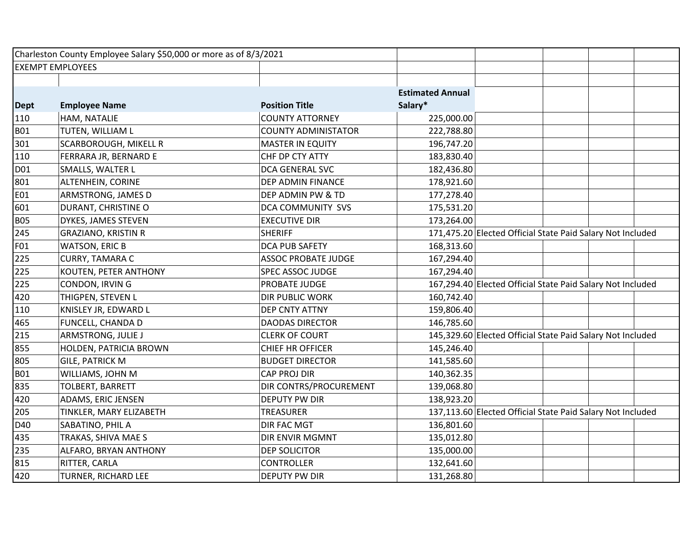|             | Charleston County Employee Salary \$50,000 or more as of 8/3/2021 |                            |                         |                                                            |  |
|-------------|-------------------------------------------------------------------|----------------------------|-------------------------|------------------------------------------------------------|--|
|             | <b>EXEMPT EMPLOYEES</b>                                           |                            |                         |                                                            |  |
|             |                                                                   |                            |                         |                                                            |  |
|             |                                                                   |                            | <b>Estimated Annual</b> |                                                            |  |
| <b>Dept</b> | <b>Employee Name</b>                                              | <b>Position Title</b>      | Salary*                 |                                                            |  |
| 110         | HAM, NATALIE                                                      | <b>COUNTY ATTORNEY</b>     | 225,000.00              |                                                            |  |
| <b>B01</b>  | TUTEN, WILLIAM L                                                  | <b>COUNTY ADMINISTATOR</b> | 222,788.80              |                                                            |  |
| 301         | SCARBOROUGH, MIKELL R                                             | <b>MASTER IN EQUITY</b>    | 196,747.20              |                                                            |  |
| 110         | FERRARA JR, BERNARD E                                             | CHF DP CTY ATTY            | 183,830.40              |                                                            |  |
| D01         | SMALLS, WALTER L                                                  | DCA GENERAL SVC            | 182,436.80              |                                                            |  |
| 801         | ALTENHEIN, CORINE                                                 | DEP ADMIN FINANCE          | 178,921.60              |                                                            |  |
| E01         | ARMSTRONG, JAMES D                                                | DEP ADMIN PW & TD          | 177,278.40              |                                                            |  |
| 601         | DURANT, CHRISTINE O                                               | DCA COMMUNITY SVS          | 175,531.20              |                                                            |  |
| <b>B05</b>  | DYKES, JAMES STEVEN                                               | <b>EXECUTIVE DIR</b>       | 173,264.00              |                                                            |  |
| 245         | <b>GRAZIANO, KRISTIN R</b>                                        | <b>SHERIFF</b>             |                         | 171,475.20 Elected Official State Paid Salary Not Included |  |
| F01         | <b>WATSON, ERIC B</b>                                             | <b>DCA PUB SAFETY</b>      | 168,313.60              |                                                            |  |
| 225         | CURRY, TAMARA C                                                   | <b>ASSOC PROBATE JUDGE</b> | 167,294.40              |                                                            |  |
| 225         | KOUTEN, PETER ANTHONY                                             | SPEC ASSOC JUDGE           | 167,294.40              |                                                            |  |
| 225         | CONDON, IRVIN G                                                   | PROBATE JUDGE              |                         | 167,294.40 Elected Official State Paid Salary Not Included |  |
| 420         | THIGPEN, STEVEN L                                                 | DIR PUBLIC WORK            | 160,742.40              |                                                            |  |
| 110         | KNISLEY JR, EDWARD L                                              | DEP CNTY ATTNY             | 159,806.40              |                                                            |  |
| 465         | FUNCELL, CHANDA D                                                 | <b>DAODAS DIRECTOR</b>     | 146,785.60              |                                                            |  |
| 215         | ARMSTRONG, JULIE J                                                | <b>CLERK OF COURT</b>      |                         | 145,329.60 Elected Official State Paid Salary Not Included |  |
| 855         | HOLDEN, PATRICIA BROWN                                            | <b>CHIEF HR OFFICER</b>    | 145,246.40              |                                                            |  |
| 805         | <b>GILE, PATRICK M</b>                                            | <b>BUDGET DIRECTOR</b>     | 141,585.60              |                                                            |  |
| <b>B01</b>  | WILLIAMS, JOHN M                                                  | CAP PROJ DIR               | 140,362.35              |                                                            |  |
| 835         | TOLBERT, BARRETT                                                  | DIR CONTRS/PROCUREMENT     | 139,068.80              |                                                            |  |
| 420         | ADAMS, ERIC JENSEN                                                | DEPUTY PW DIR              | 138,923.20              |                                                            |  |
| 205         | TINKLER, MARY ELIZABETH                                           | <b>TREASURER</b>           |                         | 137,113.60 Elected Official State Paid Salary Not Included |  |
| D40         | SABATINO, PHIL A                                                  | <b>DIR FAC MGT</b>         | 136,801.60              |                                                            |  |
| 435         | TRAKAS, SHIVA MAE S                                               | DIR ENVIR MGMNT            | 135,012.80              |                                                            |  |
| 235         | ALFARO, BRYAN ANTHONY                                             | <b>DEP SOLICITOR</b>       | 135,000.00              |                                                            |  |
| 815         | RITTER, CARLA                                                     | <b>CONTROLLER</b>          | 132,641.60              |                                                            |  |
| 420         | TURNER, RICHARD LEE                                               | DEPUTY PW DIR              | 131,268.80              |                                                            |  |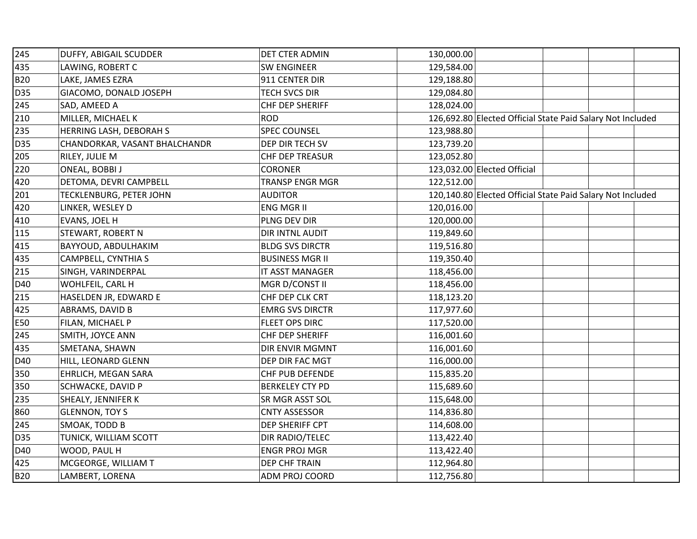| 245        | DUFFY, ABIGAIL SCUDDER        | DET CTER ADMIN         | 130,000.00                                                 |  |
|------------|-------------------------------|------------------------|------------------------------------------------------------|--|
| 435        | LAWING, ROBERT C              | <b>SW ENGINEER</b>     | 129,584.00                                                 |  |
| <b>B20</b> | LAKE, JAMES EZRA              | 911 CENTER DIR         | 129,188.80                                                 |  |
| D35        | GIACOMO, DONALD JOSEPH        | TECH SVCS DIR          | 129,084.80                                                 |  |
| 245        | SAD, AMEED A                  | CHF DEP SHERIFF        | 128,024.00                                                 |  |
| 210        | MILLER, MICHAEL K             | <b>ROD</b>             | 126,692.80 Elected Official State Paid Salary Not Included |  |
| 235        | HERRING LASH, DEBORAH S       | <b>SPEC COUNSEL</b>    | 123,988.80                                                 |  |
| D35        | CHANDORKAR, VASANT BHALCHANDR | DEP DIR TECH SV        | 123,739.20                                                 |  |
| 205        | RILEY, JULIE M                | CHF DEP TREASUR        | 123,052.80                                                 |  |
| 220        | ONEAL, BOBBI J                | <b>CORONER</b>         | 123,032.00 Elected Official                                |  |
| 420        | DETOMA, DEVRI CAMPBELL        | <b>TRANSP ENGR MGR</b> | 122,512.00                                                 |  |
| 201        | TECKLENBURG, PETER JOHN       | <b>AUDITOR</b>         | 120,140.80 Elected Official State Paid Salary Not Included |  |
| 420        | LINKER, WESLEY D              | ENG MGR II             | 120,016.00                                                 |  |
| 410        | <b>EVANS, JOEL H</b>          | PLNG DEV DIR           | 120,000.00                                                 |  |
| 115        | <b>STEWART, ROBERT N</b>      | DIR INTNL AUDIT        | 119,849.60                                                 |  |
| 415        | BAYYOUD, ABDULHAKIM           | <b>BLDG SVS DIRCTR</b> | 119,516.80                                                 |  |
| 435        | CAMPBELL, CYNTHIA S           | <b>BUSINESS MGR II</b> | 119,350.40                                                 |  |
| 215        | SINGH, VARINDERPAL            | IT ASST MANAGER        | 118,456.00                                                 |  |
| D40        | WOHLFEIL, CARL H              | MGR D/CONST II         | 118,456.00                                                 |  |
| 215        | HASELDEN JR, EDWARD E         | CHF DEP CLK CRT        | 118,123.20                                                 |  |
| 425        | ABRAMS, DAVID B               | <b>EMRG SVS DIRCTR</b> | 117,977.60                                                 |  |
| <b>E50</b> | FILAN, MICHAEL P              | FLEET OPS DIRC         | 117,520.00                                                 |  |
| 245        | SMITH, JOYCE ANN              | CHF DEP SHERIFF        | 116,001.60                                                 |  |
| 435        | SMETANA, SHAWN                | DIR ENVIR MGMNT        | 116,001.60                                                 |  |
| D40        | HILL, LEONARD GLENN           | DEP DIR FAC MGT        | 116,000.00                                                 |  |
| 350        | EHRLICH, MEGAN SARA           | CHF PUB DEFENDE        | 115,835.20                                                 |  |
| 350        | SCHWACKE, DAVID P             | <b>BERKELEY CTY PD</b> | 115,689.60                                                 |  |
| 235        | SHEALY, JENNIFER K            | SR MGR ASST SOL        | 115,648.00                                                 |  |
| 860        | <b>GLENNON, TOY S</b>         | <b>CNTY ASSESSOR</b>   | 114,836.80                                                 |  |
| 245        | SMOAK, TODD B                 | DEP SHERIFF CPT        | 114,608.00                                                 |  |
| D35        | TUNICK, WILLIAM SCOTT         | DIR RADIO/TELEC        | 113,422.40                                                 |  |
| D40        | WOOD, PAUL H                  | <b>ENGR PROJ MGR</b>   | 113,422.40                                                 |  |
| 425        | MCGEORGE, WILLIAM T           | DEP CHF TRAIN          | 112,964.80                                                 |  |
| <b>B20</b> | LAMBERT, LORENA               | ADM PROJ COORD         | 112,756.80                                                 |  |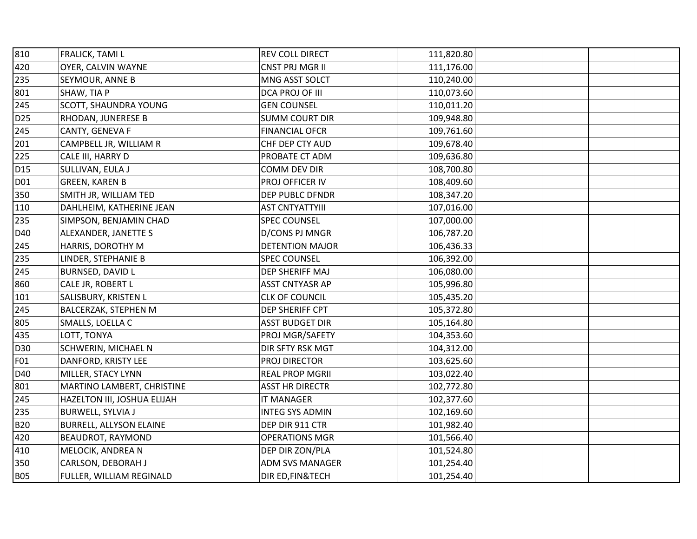| 810             | FRALICK, TAMI L             | REV COLL DIRECT        | 111,820.80 |  |
|-----------------|-----------------------------|------------------------|------------|--|
| 420             | OYER, CALVIN WAYNE          | CNST PRJ MGR II        | 111,176.00 |  |
| 235             | SEYMOUR, ANNE B             | MNG ASST SOLCT         | 110,240.00 |  |
| 801             | SHAW, TIA P                 | DCA PROJ OF III        | 110,073.60 |  |
| 245             | SCOTT, SHAUNDRA YOUNG       | <b>GEN COUNSEL</b>     | 110,011.20 |  |
| D <sub>25</sub> | RHODAN, JUNERESE B          | <b>SUMM COURT DIR</b>  | 109,948.80 |  |
| 245             | CANTY, GENEVA F             | <b>FINANCIAL OFCR</b>  | 109,761.60 |  |
| 201             | CAMPBELL JR, WILLIAM R      | CHF DEP CTY AUD        | 109,678.40 |  |
| 225             | CALE III, HARRY D           | PROBATE CT ADM         | 109,636.80 |  |
| D <sub>15</sub> | SULLIVAN, EULA J            | COMM DEV DIR           | 108,700.80 |  |
| D01             | <b>GREEN, KAREN B</b>       | PROJ OFFICER IV        | 108,409.60 |  |
| 350             | SMITH JR, WILLIAM TED       | DEP PUBLC DFNDR        | 108,347.20 |  |
| 110             | DAHLHEIM, KATHERINE JEAN    | <b>AST CNTYATTYIII</b> | 107,016.00 |  |
| 235             | SIMPSON, BENJAMIN CHAD      | <b>SPEC COUNSEL</b>    | 107,000.00 |  |
| D40             | ALEXANDER, JANETTE S        | D/CONS PJ MNGR         | 106,787.20 |  |
| 245             | HARRIS, DOROTHY M           | <b>DETENTION MAJOR</b> | 106,436.33 |  |
| 235             | LINDER, STEPHANIE B         | <b>SPEC COUNSEL</b>    | 106,392.00 |  |
| 245             | BURNSED, DAVID L            | <b>DEP SHERIFF MAJ</b> | 106,080.00 |  |
| 860             | CALE JR, ROBERT L           | ASST CNTYASR AP        | 105,996.80 |  |
| 101             | SALISBURY, KRISTEN L        | <b>CLK OF COUNCIL</b>  | 105,435.20 |  |
| 245             | BALCERZAK, STEPHEN M        | DEP SHERIFF CPT        | 105,372.80 |  |
| 805             | SMALLS, LOELLA C            | <b>ASST BUDGET DIR</b> | 105,164.80 |  |
| 435             | LOTT, TONYA                 | PROJ MGR/SAFETY        | 104,353.60 |  |
| D30             | SCHWERIN, MICHAEL N         | DIR SFTY RSK MGT       | 104,312.00 |  |
| F01             | DANFORD, KRISTY LEE         | PROJ DIRECTOR          | 103,625.60 |  |
| D40             | MILLER, STACY LYNN          | <b>REAL PROP MGRII</b> | 103,022.40 |  |
| 801             | MARTINO LAMBERT, CHRISTINE  | <b>ASST HR DIRECTR</b> | 102,772.80 |  |
| 245             | HAZELTON III, JOSHUA ELIJAH | <b>IT MANAGER</b>      | 102,377.60 |  |
| 235             | <b>BURWELL, SYLVIA J</b>    | <b>INTEG SYS ADMIN</b> | 102,169.60 |  |
| <b>B20</b>      | BURRELL, ALLYSON ELAINE     | DEP DIR 911 CTR        | 101,982.40 |  |
| 420             | BEAUDROT, RAYMOND           | <b>OPERATIONS MGR</b>  | 101,566.40 |  |
| 410             | MELOCIK, ANDREA N           | DEP DIR ZON/PLA        | 101,524.80 |  |
| 350             | CARLSON, DEBORAH J          | ADM SVS MANAGER        | 101,254.40 |  |
| <b>B05</b>      | FULLER, WILLIAM REGINALD    | DIR ED, FIN& TECH      | 101,254.40 |  |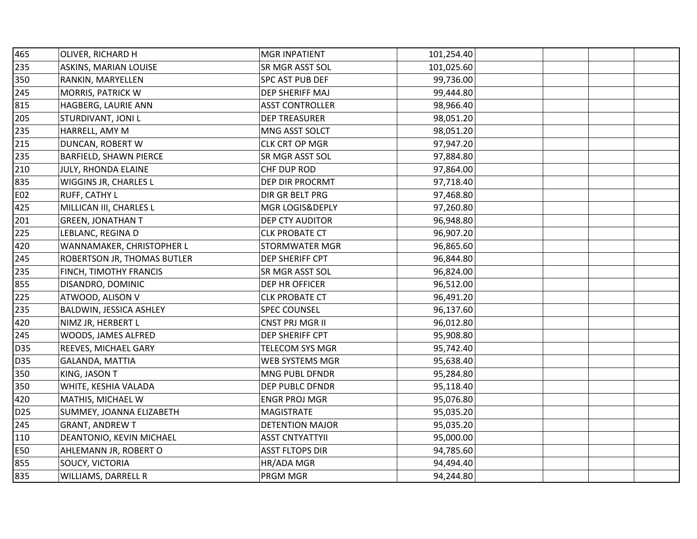| 465             | OLIVER, RICHARD H           | <b>MGR INPATIENT</b>   | 101,254.40 |  |
|-----------------|-----------------------------|------------------------|------------|--|
| 235             | ASKINS, MARIAN LOUISE       | SR MGR ASST SOL        | 101,025.60 |  |
| 350             | RANKIN, MARYELLEN           | SPC AST PUB DEF        | 99,736.00  |  |
| 245             | MORRIS, PATRICK W           | DEP SHERIFF MAJ        | 99,444.80  |  |
| 815             | HAGBERG, LAURIE ANN         | <b>ASST CONTROLLER</b> | 98,966.40  |  |
| 205             | STURDIVANT, JONI L          | <b>DEP TREASURER</b>   | 98,051.20  |  |
| 235             | HARRELL, AMY M              | MNG ASST SOLCT         | 98,051.20  |  |
| 215             | DUNCAN, ROBERT W            | CLK CRT OP MGR         | 97,947.20  |  |
| 235             | BARFIELD, SHAWN PIERCE      | SR MGR ASST SOL        | 97,884.80  |  |
| 210             | JULY, RHONDA ELAINE         | CHF DUP ROD            | 97,864.00  |  |
| 835             | WIGGINS JR, CHARLES L       | DEP DIR PROCRMT        | 97,718.40  |  |
| E02             | RUFF, CATHY L               | DIR GR BELT PRG        | 97,468.80  |  |
| 425             | MILLICAN III, CHARLES L     | MGR LOGIS&DEPLY        | 97,260.80  |  |
| 201             | <b>GREEN, JONATHAN T</b>    | <b>DEP CTY AUDITOR</b> | 96,948.80  |  |
| 225             | LEBLANC, REGINA D           | <b>CLK PROBATE CT</b>  | 96,907.20  |  |
| 420             | WANNAMAKER, CHRISTOPHER L   | STORMWATER MGR         | 96,865.60  |  |
| 245             | ROBERTSON JR, THOMAS BUTLER | DEP SHERIFF CPT        | 96,844.80  |  |
| 235             | FINCH, TIMOTHY FRANCIS      | SR MGR ASST SOL        | 96,824.00  |  |
| 855             | DISANDRO, DOMINIC           | DEP HR OFFICER         | 96,512.00  |  |
| 225             | ATWOOD, ALISON V            | <b>CLK PROBATE CT</b>  | 96,491.20  |  |
| 235             | BALDWIN, JESSICA ASHLEY     | <b>SPEC COUNSEL</b>    | 96,137.60  |  |
| 420             | NIMZ JR, HERBERT L          | CNST PRJ MGR II        | 96,012.80  |  |
| 245             | WOODS, JAMES ALFRED         | DEP SHERIFF CPT        | 95,908.80  |  |
| D35             | REEVES, MICHAEL GARY        | TELECOM SYS MGR        | 95,742.40  |  |
| <b>D35</b>      | <b>GALANDA, MATTIA</b>      | WEB SYSTEMS MGR        | 95,638.40  |  |
| 350             | KING, JASON T               | MNG PUBL DFNDR         | 95,284.80  |  |
| 350             | WHITE, KESHIA VALADA        | DEP PUBLC DFNDR        | 95,118.40  |  |
| 420             | MATHIS, MICHAEL W           | <b>ENGR PROJ MGR</b>   | 95,076.80  |  |
| D <sub>25</sub> | SUMMEY, JOANNA ELIZABETH    | <b>MAGISTRATE</b>      | 95,035.20  |  |
| 245             | <b>GRANT, ANDREW T</b>      | <b>DETENTION MAJOR</b> | 95,035.20  |  |
| 110             | DEANTONIO, KEVIN MICHAEL    | <b>ASST CNTYATTYII</b> | 95,000.00  |  |
| E50             | AHLEMANN JR, ROBERT O       | <b>ASST FLTOPS DIR</b> | 94,785.60  |  |
| 855             | SOUCY, VICTORIA             | HR/ADA MGR             | 94,494.40  |  |
| 835             | WILLIAMS, DARRELL R         | PRGM MGR               | 94,244.80  |  |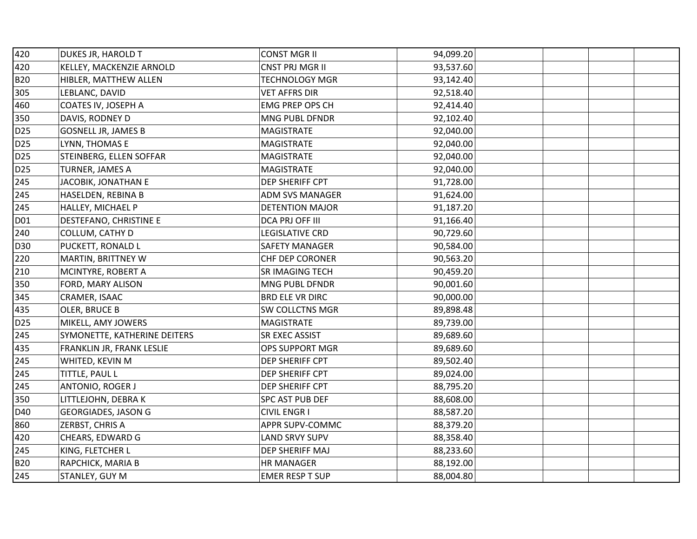| 420             | DUKES JR, HAROLD T           | <b>CONST MGR II</b>    | 94,099.20 |  |
|-----------------|------------------------------|------------------------|-----------|--|
| 420             | KELLEY, MACKENZIE ARNOLD     | <b>CNST PRJ MGR II</b> | 93,537.60 |  |
| <b>B20</b>      | HIBLER, MATTHEW ALLEN        | <b>TECHNOLOGY MGR</b>  | 93,142.40 |  |
| 305             | LEBLANC, DAVID               | <b>VET AFFRS DIR</b>   | 92,518.40 |  |
| 460             | COATES IV, JOSEPH A          | EMG PREP OPS CH        | 92,414.40 |  |
| 350             | DAVIS, RODNEY D              | MNG PUBL DFNDR         | 92,102.40 |  |
| D <sub>25</sub> | <b>GOSNELL JR, JAMES B</b>   | <b>MAGISTRATE</b>      | 92,040.00 |  |
| D <sub>25</sub> | LYNN, THOMAS E               | <b>MAGISTRATE</b>      | 92,040.00 |  |
| D <sub>25</sub> | STEINBERG, ELLEN SOFFAR      | <b>MAGISTRATE</b>      | 92,040.00 |  |
| D <sub>25</sub> | TURNER, JAMES A              | <b>MAGISTRATE</b>      | 92,040.00 |  |
| 245             | JACOBIK, JONATHAN E          | DEP SHERIFF CPT        | 91,728.00 |  |
| 245             | HASELDEN, REBINA B           | <b>ADM SVS MANAGER</b> | 91,624.00 |  |
| 245             | HALLEY, MICHAEL P            | <b>DETENTION MAJOR</b> | 91,187.20 |  |
| D01             | DESTEFANO, CHRISTINE E       | DCA PRJ OFF III        | 91,166.40 |  |
| 240             | COLLUM, CATHY D              | <b>LEGISLATIVE CRD</b> | 90,729.60 |  |
| D30             | PUCKETT, RONALD L            | <b>SAFETY MANAGER</b>  | 90,584.00 |  |
| 220             | MARTIN, BRITTNEY W           | CHF DEP CORONER        | 90,563.20 |  |
| 210             | MCINTYRE, ROBERT A           | SR IMAGING TECH        | 90,459.20 |  |
| 350             | FORD, MARY ALISON            | MNG PUBL DFNDR         | 90,001.60 |  |
| 345             | CRAMER, ISAAC                | <b>BRD ELE VR DIRC</b> | 90,000.00 |  |
| 435             | OLER, BRUCE B                | SW COLLCTNS MGR        | 89,898.48 |  |
| D <sub>25</sub> | MIKELL, AMY JOWERS           | MAGISTRATE             | 89,739.00 |  |
| 245             | SYMONETTE, KATHERINE DEITERS | SR EXEC ASSIST         | 89,689.60 |  |
| 435             | FRANKLIN JR, FRANK LESLIE    | OPS SUPPORT MGR        | 89,689.60 |  |
| 245             | WHITED, KEVIN M              | DEP SHERIFF CPT        | 89,502.40 |  |
| 245             | TITTLE, PAUL L               | DEP SHERIFF CPT        | 89,024.00 |  |
| 245             | <b>ANTONIO, ROGER J</b>      | DEP SHERIFF CPT        | 88,795.20 |  |
| 350             | LITTLEJOHN, DEBRA K          | SPC AST PUB DEF        | 88,608.00 |  |
| D40             | <b>GEORGIADES, JASON G</b>   | <b>CIVIL ENGR I</b>    | 88,587.20 |  |
| 860             | <b>ZERBST, CHRIS A</b>       | APPR SUPV-COMMC        | 88,379.20 |  |
| 420             | CHEARS, EDWARD G             | <b>LAND SRVY SUPV</b>  | 88,358.40 |  |
| 245             | KING, FLETCHER L             | DEP SHERIFF MAJ        | 88,233.60 |  |
| <b>B20</b>      | RAPCHICK, MARIA B            | <b>HR MANAGER</b>      | 88,192.00 |  |
| 245             | STANLEY, GUY M               | <b>EMER RESP T SUP</b> | 88,004.80 |  |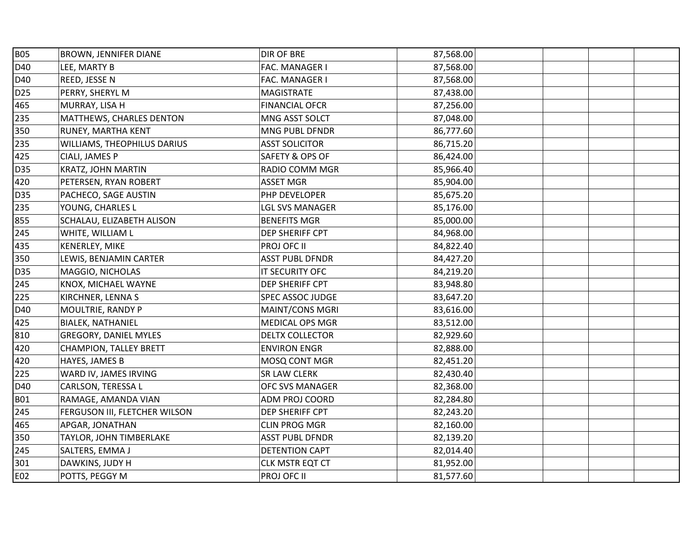| <b>B05</b>      | <b>BROWN, JENNIFER DIANE</b>  | DIR OF BRE             | 87,568.00 |  |
|-----------------|-------------------------------|------------------------|-----------|--|
| D40             | LEE, MARTY B                  | FAC. MANAGER I         | 87,568.00 |  |
| D40             | REED, JESSE N                 | FAC. MANAGER I         | 87,568.00 |  |
| D <sub>25</sub> | PERRY, SHERYL M               | <b>MAGISTRATE</b>      | 87,438.00 |  |
| 465             | MURRAY, LISA H                | <b>FINANCIAL OFCR</b>  | 87,256.00 |  |
| 235             | MATTHEWS, CHARLES DENTON      | MNG ASST SOLCT         | 87,048.00 |  |
| 350             | RUNEY, MARTHA KENT            | MNG PUBL DFNDR         | 86,777.60 |  |
| 235             | WILLIAMS, THEOPHILUS DARIUS   | <b>ASST SOLICITOR</b>  | 86,715.20 |  |
| 425             | CIALI, JAMES P                | SAFETY & OPS OF        | 86,424.00 |  |
| D35             | KRATZ, JOHN MARTIN            | RADIO COMM MGR         | 85,966.40 |  |
| 420             | PETERSEN, RYAN ROBERT         | <b>ASSET MGR</b>       | 85,904.00 |  |
| D35             | PACHECO, SAGE AUSTIN          | PHP DEVELOPER          | 85,675.20 |  |
| 235             | YOUNG, CHARLES L              | <b>LGL SVS MANAGER</b> | 85,176.00 |  |
| 855             | SCHALAU, ELIZABETH ALISON     | <b>BENEFITS MGR</b>    | 85,000.00 |  |
| 245             | WHITE, WILLIAM L              | DEP SHERIFF CPT        | 84,968.00 |  |
| 435             | KENERLEY, MIKE                | PROJ OFC II            | 84,822.40 |  |
| 350             | LEWIS, BENJAMIN CARTER        | <b>ASST PUBL DFNDR</b> | 84,427.20 |  |
| D35             | MAGGIO, NICHOLAS              | IT SECURITY OFC        | 84,219.20 |  |
| 245             | KNOX, MICHAEL WAYNE           | DEP SHERIFF CPT        | 83,948.80 |  |
| 225             | KIRCHNER, LENNA S             | SPEC ASSOC JUDGE       | 83,647.20 |  |
| D40             | MOULTRIE, RANDY P             | MAINT/CONS MGRI        | 83,616.00 |  |
| 425             | <b>BIALEK, NATHANIEL</b>      | <b>MEDICAL OPS MGR</b> | 83,512.00 |  |
| 810             | <b>GREGORY, DANIEL MYLES</b>  | DELTX COLLECTOR        | 82,929.60 |  |
| 420             | <b>CHAMPION, TALLEY BRETT</b> | <b>ENVIRON ENGR</b>    | 82,888.00 |  |
| 420             | HAYES, JAMES B                | MOSQ CONT MGR          | 82,451.20 |  |
| 225             | WARD IV, JAMES IRVING         | SR LAW CLERK           | 82,430.40 |  |
| D40             | CARLSON, TERESSA L            | OFC SVS MANAGER        | 82,368.00 |  |
| <b>B01</b>      | RAMAGE, AMANDA VIAN           | ADM PROJ COORD         | 82,284.80 |  |
| 245             | FERGUSON III, FLETCHER WILSON | DEP SHERIFF CPT        | 82,243.20 |  |
| 465             | APGAR, JONATHAN               | <b>CLIN PROG MGR</b>   | 82,160.00 |  |
| 350             | TAYLOR, JOHN TIMBERLAKE       | <b>ASST PUBL DFNDR</b> | 82,139.20 |  |
| 245             | SALTERS, EMMA J               | DETENTION CAPT         | 82,014.40 |  |
| 301             | DAWKINS, JUDY H               | CLK MSTR EQT CT        | 81,952.00 |  |
| E02             | POTTS, PEGGY M                | PROJ OFC II            | 81,577.60 |  |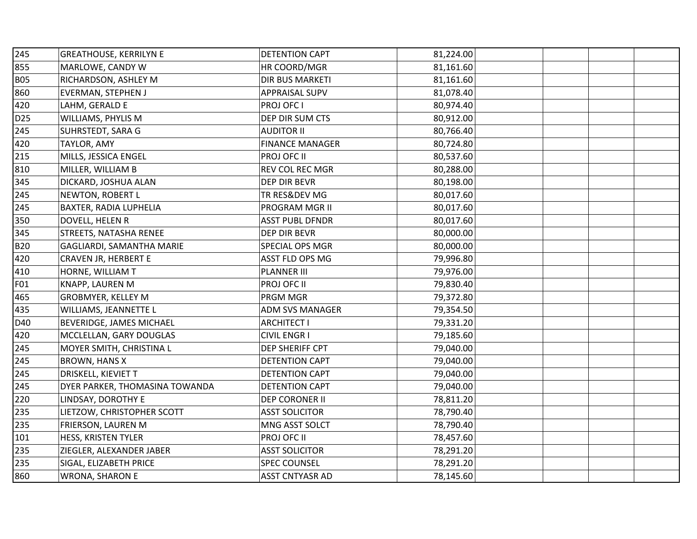| 245             | <b>GREATHOUSE, KERRILYN E</b>  | <b>DETENTION CAPT</b>  | 81,224.00 |  |
|-----------------|--------------------------------|------------------------|-----------|--|
| 855             | MARLOWE, CANDY W               | HR COORD/MGR           | 81,161.60 |  |
| <b>B05</b>      | RICHARDSON, ASHLEY M           | DIR BUS MARKETI        | 81,161.60 |  |
| 860             | <b>EVERMAN, STEPHEN J</b>      | <b>APPRAISAL SUPV</b>  | 81,078.40 |  |
| 420             | LAHM, GERALD E                 | PROJ OFC I             | 80,974.40 |  |
| D <sub>25</sub> | WILLIAMS, PHYLIS M             | DEP DIR SUM CTS        | 80,912.00 |  |
| 245             | SUHRSTEDT, SARA G              | <b>AUDITOR II</b>      | 80,766.40 |  |
| 420             | TAYLOR, AMY                    | <b>FINANCE MANAGER</b> | 80,724.80 |  |
| 215             | MILLS, JESSICA ENGEL           | PROJ OFC II            | 80,537.60 |  |
| 810             | MILLER, WILLIAM B              | REV COL REC MGR        | 80,288.00 |  |
| 345             | DICKARD, JOSHUA ALAN           | DEP DIR BEVR           | 80,198.00 |  |
| 245             | NEWTON, ROBERT L               | TR RES&DEV MG          | 80,017.60 |  |
| 245             | BAXTER, RADIA LUPHELIA         | PROGRAM MGR II         | 80,017.60 |  |
| 350             | DOVELL, HELEN R                | <b>ASST PUBL DFNDR</b> | 80,017.60 |  |
| 345             | <b>STREETS, NATASHA RENEE</b>  | DEP DIR BEVR           | 80,000.00 |  |
| <b>B20</b>      | GAGLIARDI, SAMANTHA MARIE      | SPECIAL OPS MGR        | 80,000.00 |  |
| 420             | CRAVEN JR, HERBERT E           | ASST FLD OPS MG        | 79,996.80 |  |
| 410             | HORNE, WILLIAM T               | <b>PLANNER III</b>     | 79,976.00 |  |
| F01             | KNAPP, LAUREN M                | PROJ OFC II            | 79,830.40 |  |
| 465             | GROBMYER, KELLEY M             | PRGM MGR               | 79,372.80 |  |
| 435             | WILLIAMS, JEANNETTE L          | ADM SVS MANAGER        | 79,354.50 |  |
| D40             | BEVERIDGE, JAMES MICHAEL       | <b>ARCHITECT I</b>     | 79,331.20 |  |
| 420             | MCCLELLAN, GARY DOUGLAS        | <b>CIVIL ENGR I</b>    | 79,185.60 |  |
| 245             | MOYER SMITH, CHRISTINA L       | DEP SHERIFF CPT        | 79,040.00 |  |
| 245             | <b>BROWN, HANS X</b>           | DETENTION CAPT         | 79,040.00 |  |
| 245             | DRISKELL, KIEVIET T            | DETENTION CAPT         | 79,040.00 |  |
| 245             | DYER PARKER, THOMASINA TOWANDA | DETENTION CAPT         | 79,040.00 |  |
| 220             | LINDSAY, DOROTHY E             | DEP CORONER II         | 78,811.20 |  |
| 235             | LIETZOW, CHRISTOPHER SCOTT     | <b>ASST SOLICITOR</b>  | 78,790.40 |  |
| 235             | <b>FRIERSON, LAUREN M</b>      | MNG ASST SOLCT         | 78,790.40 |  |
| 101             | HESS, KRISTEN TYLER            | PROJ OFC II            | 78,457.60 |  |
| 235             | ZIEGLER, ALEXANDER JABER       | <b>ASST SOLICITOR</b>  | 78,291.20 |  |
| 235             | SIGAL, ELIZABETH PRICE         | <b>SPEC COUNSEL</b>    | 78,291.20 |  |
| 860             | WRONA, SHARON E                | <b>ASST CNTYASR AD</b> | 78,145.60 |  |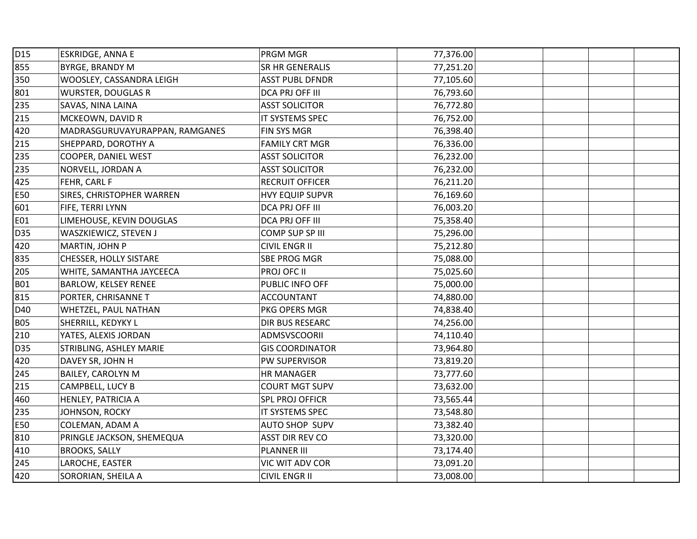| D15        | <b>ESKRIDGE, ANNA E</b>        | PRGM MGR               | 77,376.00 |  |
|------------|--------------------------------|------------------------|-----------|--|
| 855        | <b>BYRGE, BRANDY M</b>         | SR HR GENERALIS        | 77,251.20 |  |
| 350        | WOOSLEY, CASSANDRA LEIGH       | <b>ASST PUBL DFNDR</b> | 77,105.60 |  |
| 801        | <b>WURSTER, DOUGLAS R</b>      | DCA PRJ OFF III        | 76,793.60 |  |
| 235        | SAVAS, NINA LAINA              | <b>ASST SOLICITOR</b>  | 76,772.80 |  |
| 215        | MCKEOWN, DAVID R               | IT SYSTEMS SPEC        | 76,752.00 |  |
| 420        | MADRASGURUVAYURAPPAN, RAMGANES | FIN SYS MGR            | 76,398.40 |  |
| 215        | SHEPPARD, DOROTHY A            | <b>FAMILY CRT MGR</b>  | 76,336.00 |  |
| 235        | COOPER, DANIEL WEST            | <b>ASST SOLICITOR</b>  | 76,232.00 |  |
| 235        | NORVELL, JORDAN A              | <b>ASST SOLICITOR</b>  | 76,232.00 |  |
| 425        | FEHR, CARL F                   | <b>RECRUIT OFFICER</b> | 76,211.20 |  |
| E50        | SIRES, CHRISTOPHER WARREN      | <b>HVY EQUIP SUPVR</b> | 76,169.60 |  |
| 601        | FIFE, TERRI LYNN               | DCA PRJ OFF III        | 76,003.20 |  |
| E01        | LIMEHOUSE, KEVIN DOUGLAS       | DCA PRJ OFF III        | 75,358.40 |  |
| D35        | WASZKIEWICZ, STEVEN J          | COMP SUP SP III        | 75,296.00 |  |
| 420        | MARTIN, JOHN P                 | <b>CIVIL ENGR II</b>   | 75,212.80 |  |
| 835        | CHESSER, HOLLY SISTARE         | SBE PROG MGR           | 75,088.00 |  |
| 205        | WHITE, SAMANTHA JAYCEECA       | PROJ OFC II            | 75,025.60 |  |
| <b>B01</b> | BARLOW, KELSEY RENEE           | PUBLIC INFO OFF        | 75,000.00 |  |
| 815        | PORTER, CHRISANNE T            | <b>ACCOUNTANT</b>      | 74,880.00 |  |
| D40        | WHETZEL, PAUL NATHAN           | PKG OPERS MGR          | 74,838.40 |  |
| <b>B05</b> | SHERRILL, KEDYKY L             | DIR BUS RESEARC        | 74,256.00 |  |
| 210        | YATES, ALEXIS JORDAN           | ADMSVSCOORII           | 74,110.40 |  |
| D35        | STRIBLING, ASHLEY MARIE        | <b>GIS COORDINATOR</b> | 73,964.80 |  |
| 420        | DAVEY SR, JOHN H               | PW SUPERVISOR          | 73,819.20 |  |
| 245        | <b>BAILEY, CAROLYN M</b>       | HR MANAGER             | 73,777.60 |  |
| 215        | CAMPBELL, LUCY B               | <b>COURT MGT SUPV</b>  | 73,632.00 |  |
| 460        | HENLEY, PATRICIA A             | <b>SPL PROJ OFFICR</b> | 73,565.44 |  |
| 235        | JOHNSON, ROCKY                 | IT SYSTEMS SPEC        | 73,548.80 |  |
| E50        | COLEMAN, ADAM A                | AUTO SHOP SUPV         | 73,382.40 |  |
| 810        | PRINGLE JACKSON, SHEMEQUA      | ASST DIR REV CO        | 73,320.00 |  |
| 410        | <b>BROOKS, SALLY</b>           | <b>PLANNER III</b>     | 73,174.40 |  |
| 245        | LAROCHE, EASTER                | VIC WIT ADV COR        | 73,091.20 |  |
| 420        | SORORIAN, SHEILA A             | <b>CIVIL ENGR II</b>   | 73,008.00 |  |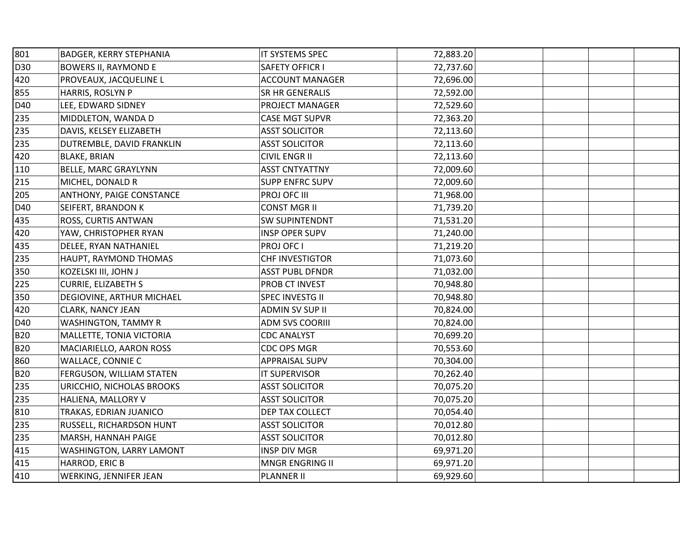| 801        | BADGER, KERRY STEPHANIA     | IT SYSTEMS SPEC        | 72,883.20 |  |  |
|------------|-----------------------------|------------------------|-----------|--|--|
| D30        | <b>BOWERS II, RAYMOND E</b> | SAFETY OFFICR I        | 72,737.60 |  |  |
| 420        | PROVEAUX, JACQUELINE L      | <b>ACCOUNT MANAGER</b> | 72,696.00 |  |  |
| 855        | HARRIS, ROSLYN P            | SR HR GENERALIS        | 72,592.00 |  |  |
| D40        | LEE, EDWARD SIDNEY          | PROJECT MANAGER        | 72,529.60 |  |  |
| 235        | MIDDLETON, WANDA D          | <b>CASE MGT SUPVR</b>  | 72,363.20 |  |  |
| 235        | DAVIS, KELSEY ELIZABETH     | <b>ASST SOLICITOR</b>  | 72,113.60 |  |  |
| 235        | DUTREMBLE, DAVID FRANKLIN   | <b>ASST SOLICITOR</b>  | 72,113.60 |  |  |
| 420        | <b>BLAKE, BRIAN</b>         | <b>CIVIL ENGR II</b>   | 72,113.60 |  |  |
| 110        | <b>BELLE, MARC GRAYLYNN</b> | <b>ASST CNTYATTNY</b>  | 72,009.60 |  |  |
| 215        | MICHEL, DONALD R            | <b>SUPP ENFRC SUPV</b> | 72,009.60 |  |  |
| 205        | ANTHONY, PAIGE CONSTANCE    | PROJ OFC III           | 71,968.00 |  |  |
| D40        | SEIFERT, BRANDON K          | <b>CONST MGR II</b>    | 71,739.20 |  |  |
| 435        | ROSS, CURTIS ANTWAN         | <b>SW SUPINTENDNT</b>  | 71,531.20 |  |  |
| 420        | YAW, CHRISTOPHER RYAN       | <b>INSP OPER SUPV</b>  | 71,240.00 |  |  |
| 435        | DELEE, RYAN NATHANIEL       | PROJ OFC I             | 71,219.20 |  |  |
| 235        | HAUPT, RAYMOND THOMAS       | CHF INVESTIGTOR        | 71,073.60 |  |  |
| 350        | KOZELSKI III, JOHN J        | <b>ASST PUBL DFNDR</b> | 71,032.00 |  |  |
| 225        | <b>CURRIE, ELIZABETH S</b>  | PROB CT INVEST         | 70,948.80 |  |  |
| 350        | DEGIOVINE, ARTHUR MICHAEL   | SPEC INVESTG II        | 70,948.80 |  |  |
| 420        | CLARK, NANCY JEAN           | <b>ADMIN SV SUP II</b> | 70,824.00 |  |  |
| D40        | WASHINGTON, TAMMY R         | <b>ADM SVS COORIII</b> | 70,824.00 |  |  |
| <b>B20</b> | MALLETTE, TONIA VICTORIA    | <b>CDC ANALYST</b>     | 70,699.20 |  |  |
| <b>B20</b> | MACIARIELLO, AARON ROSS     | CDC OPS MGR            | 70,553.60 |  |  |
| 860        | WALLACE, CONNIE C           | APPRAISAL SUPV         | 70,304.00 |  |  |
| <b>B20</b> | FERGUSON, WILLIAM STATEN    | IT SUPERVISOR          | 70,262.40 |  |  |
| 235        | URICCHIO, NICHOLAS BROOKS   | <b>ASST SOLICITOR</b>  | 70,075.20 |  |  |
| 235        | HALIENA, MALLORY V          | <b>ASST SOLICITOR</b>  | 70,075.20 |  |  |
| 810        | TRAKAS, EDRIAN JUANICO      | DEP TAX COLLECT        | 70,054.40 |  |  |
| 235        | RUSSELL, RICHARDSON HUNT    | <b>ASST SOLICITOR</b>  | 70,012.80 |  |  |
| 235        | MARSH, HANNAH PAIGE         | <b>ASST SOLICITOR</b>  | 70,012.80 |  |  |
| 415        | WASHINGTON, LARRY LAMONT    | <b>INSP DIV MGR</b>    | 69,971.20 |  |  |
| 415        | HARROD, ERIC B              | MNGR ENGRING II        | 69,971.20 |  |  |
| 410        | WERKING, JENNIFER JEAN      | <b>PLANNER II</b>      | 69,929.60 |  |  |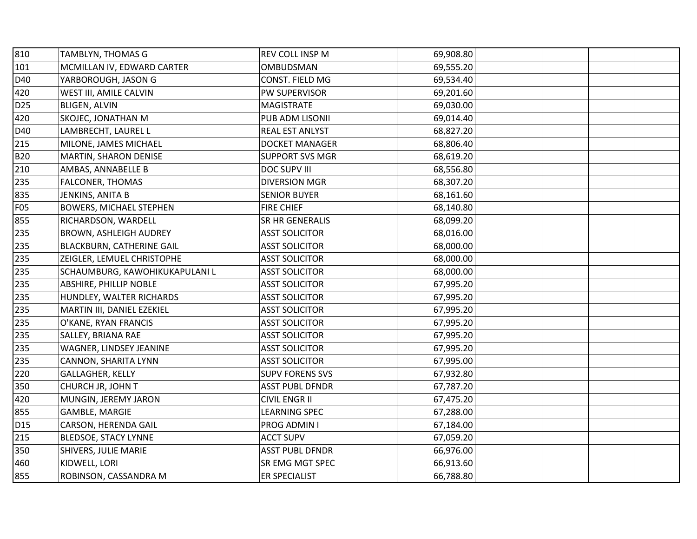| 810             | <b>TAMBLYN, THOMAS G</b>       | REV COLL INSP M        | 69,908.80 |  |
|-----------------|--------------------------------|------------------------|-----------|--|
| 101             | MCMILLAN IV, EDWARD CARTER     | OMBUDSMAN              | 69,555.20 |  |
| D40             | YARBOROUGH, JASON G            | CONST. FIELD MG        | 69,534.40 |  |
| 420             | WEST III, AMILE CALVIN         | PW SUPERVISOR          | 69,201.60 |  |
| D <sub>25</sub> | <b>BLIGEN, ALVIN</b>           | <b>MAGISTRATE</b>      | 69,030.00 |  |
| 420             | SKOJEC, JONATHAN M             | PUB ADM LISONII        | 69,014.40 |  |
| D40             | LAMBRECHT, LAUREL L            | REAL EST ANLYST        | 68,827.20 |  |
| 215             | MILONE, JAMES MICHAEL          | <b>DOCKET MANAGER</b>  | 68,806.40 |  |
| <b>B20</b>      | MARTIN, SHARON DENISE          | <b>SUPPORT SVS MGR</b> | 68,619.20 |  |
| 210             | AMBAS, ANNABELLE B             | <b>DOC SUPV III</b>    | 68,556.80 |  |
| 235             | FALCONER, THOMAS               | <b>DIVERSION MGR</b>   | 68,307.20 |  |
| 835             | JENKINS, ANITA B               | <b>SENIOR BUYER</b>    | 68,161.60 |  |
| <b>F05</b>      | <b>BOWERS, MICHAEL STEPHEN</b> | <b>FIRE CHIEF</b>      | 68,140.80 |  |
| 855             | RICHARDSON, WARDELL            | SR HR GENERALIS        | 68,099.20 |  |
| 235             | <b>BROWN, ASHLEIGH AUDREY</b>  | <b>ASST SOLICITOR</b>  | 68,016.00 |  |
| 235             | BLACKBURN, CATHERINE GAIL      | <b>ASST SOLICITOR</b>  | 68,000.00 |  |
| 235             | ZEIGLER, LEMUEL CHRISTOPHE     | <b>ASST SOLICITOR</b>  | 68,000.00 |  |
| 235             | SCHAUMBURG, KAWOHIKUKAPULANI L | <b>ASST SOLICITOR</b>  | 68,000.00 |  |
| 235             | <b>ABSHIRE, PHILLIP NOBLE</b>  | <b>ASST SOLICITOR</b>  | 67,995.20 |  |
| 235             | HUNDLEY, WALTER RICHARDS       | <b>ASST SOLICITOR</b>  | 67,995.20 |  |
| 235             | MARTIN III, DANIEL EZEKIEL     | <b>ASST SOLICITOR</b>  | 67,995.20 |  |
| 235             | O'KANE, RYAN FRANCIS           | <b>ASST SOLICITOR</b>  | 67,995.20 |  |
| 235             | SALLEY, BRIANA RAE             | <b>ASST SOLICITOR</b>  | 67,995.20 |  |
| 235             | WAGNER, LINDSEY JEANINE        | <b>ASST SOLICITOR</b>  | 67,995.20 |  |
| 235             | CANNON, SHARITA LYNN           | <b>ASST SOLICITOR</b>  | 67,995.00 |  |
| 220             | GALLAGHER, KELLY               | <b>SUPV FORENS SVS</b> | 67,932.80 |  |
| 350             | CHURCH JR, JOHN T              | <b>ASST PUBL DFNDR</b> | 67,787.20 |  |
| 420             | MUNGIN, JEREMY JARON           | <b>CIVIL ENGR II</b>   | 67,475.20 |  |
| 855             | <b>GAMBLE, MARGIE</b>          | <b>LEARNING SPEC</b>   | 67,288.00 |  |
| D15             | CARSON, HERENDA GAIL           | PROG ADMIN I           | 67,184.00 |  |
| 215             | <b>BLEDSOE, STACY LYNNE</b>    | <b>ACCT SUPV</b>       | 67,059.20 |  |
| 350             | SHIVERS, JULIE MARIE           | <b>ASST PUBL DFNDR</b> | 66,976.00 |  |
| 460             | KIDWELL, LORI                  | SR EMG MGT SPEC        | 66,913.60 |  |
| 855             | ROBINSON, CASSANDRA M          | ER SPECIALIST          | 66,788.80 |  |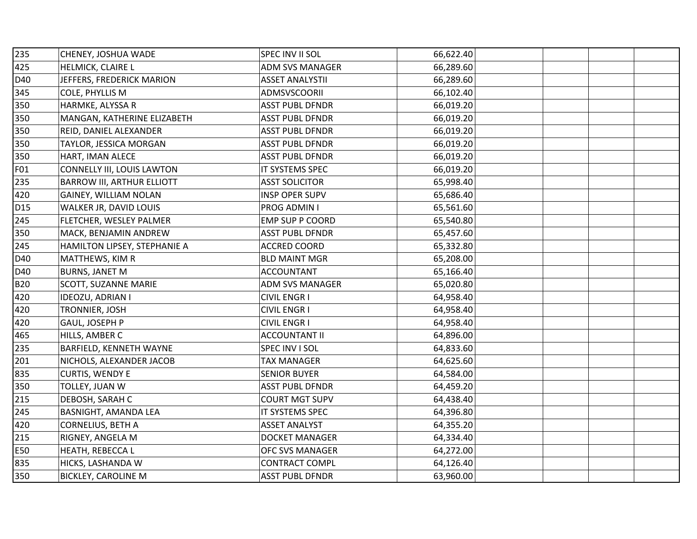| 235             | CHENEY, JOSHUA WADE               | SPEC INV II SOL        | 66,622.40 |  |
|-----------------|-----------------------------------|------------------------|-----------|--|
| 425             | HELMICK, CLAIRE L                 | ADM SVS MANAGER        | 66,289.60 |  |
| D40             | JEFFERS, FREDERICK MARION         | <b>ASSET ANALYSTII</b> | 66,289.60 |  |
| 345             | COLE, PHYLLIS M                   | ADMSVSCOORII           | 66,102.40 |  |
| 350             | HARMKE, ALYSSA R                  | <b>ASST PUBL DFNDR</b> | 66,019.20 |  |
| 350             | MANGAN, KATHERINE ELIZABETH       | <b>ASST PUBL DFNDR</b> | 66,019.20 |  |
| 350             | REID, DANIEL ALEXANDER            | <b>ASST PUBL DFNDR</b> | 66,019.20 |  |
| 350             | TAYLOR, JESSICA MORGAN            | <b>ASST PUBL DFNDR</b> | 66,019.20 |  |
| 350             | HART, IMAN ALECE                  | <b>ASST PUBL DFNDR</b> | 66,019.20 |  |
| F01             | CONNELLY III, LOUIS LAWTON        | IT SYSTEMS SPEC        | 66,019.20 |  |
| 235             | <b>BARROW III, ARTHUR ELLIOTT</b> | <b>ASST SOLICITOR</b>  | 65,998.40 |  |
| 420             | GAINEY, WILLIAM NOLAN             | <b>INSP OPER SUPV</b>  | 65,686.40 |  |
| D <sub>15</sub> | WALKER JR, DAVID LOUIS            | PROG ADMIN I           | 65,561.60 |  |
| 245             | FLETCHER, WESLEY PALMER           | EMP SUP P COORD        | 65,540.80 |  |
| 350             | MACK, BENJAMIN ANDREW             | <b>ASST PUBL DFNDR</b> | 65,457.60 |  |
| 245             | HAMILTON LIPSEY, STEPHANIE A      | ACCRED COORD           | 65,332.80 |  |
| D40             | MATTHEWS, KIM R                   | <b>BLD MAINT MGR</b>   | 65,208.00 |  |
| D40             | <b>BURNS, JANET M</b>             | <b>ACCOUNTANT</b>      | 65,166.40 |  |
| <b>B20</b>      | SCOTT, SUZANNE MARIE              | <b>ADM SVS MANAGER</b> | 65,020.80 |  |
| 420             | IDEOZU, ADRIAN I                  | <b>CIVIL ENGR I</b>    | 64,958.40 |  |
| 420             | TRONNIER, JOSH                    | <b>CIVIL ENGR I</b>    | 64,958.40 |  |
| 420             | GAUL, JOSEPH P                    | <b>CIVIL ENGR I</b>    | 64,958.40 |  |
| 465             | HILLS, AMBER C                    | <b>ACCOUNTANT II</b>   | 64,896.00 |  |
| 235             | BARFIELD, KENNETH WAYNE           | SPEC INV I SOL         | 64,833.60 |  |
| 201             | NICHOLS, ALEXANDER JACOB          | <b>TAX MANAGER</b>     | 64,625.60 |  |
| 835             | CURTIS, WENDY E                   | <b>SENIOR BUYER</b>    | 64,584.00 |  |
| 350             | TOLLEY, JUAN W                    | <b>ASST PUBL DFNDR</b> | 64,459.20 |  |
| 215             | DEBOSH, SARAH C                   | <b>COURT MGT SUPV</b>  | 64,438.40 |  |
| 245             | BASNIGHT, AMANDA LEA              | IT SYSTEMS SPEC        | 64,396.80 |  |
| 420             | CORNELIUS, BETH A                 | <b>ASSET ANALYST</b>   | 64,355.20 |  |
| 215             | RIGNEY, ANGELA M                  | DOCKET MANAGER         | 64,334.40 |  |
| E50             | HEATH, REBECCA L                  | OFC SVS MANAGER        | 64,272.00 |  |
| 835             | HICKS, LASHANDA W                 | <b>CONTRACT COMPL</b>  | 64,126.40 |  |
| 350             | <b>BICKLEY, CAROLINE M</b>        | <b>ASST PUBL DFNDR</b> | 63,960.00 |  |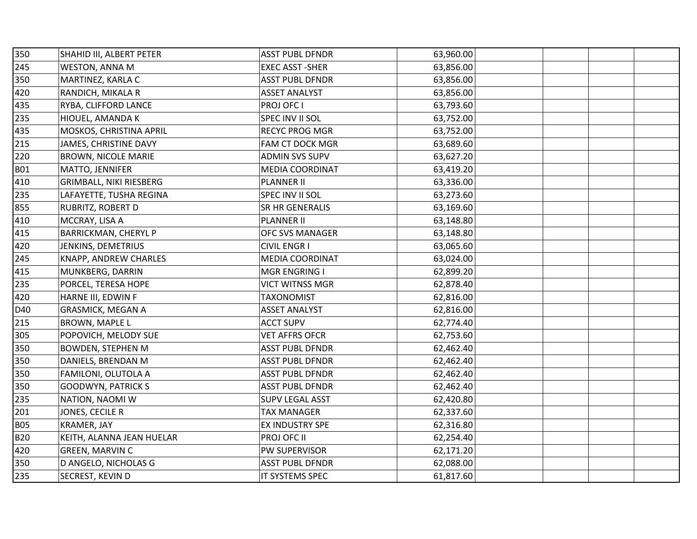| 350        | SHAHID III, ALBERT PETER    | <b>ASST PUBL DFNDR</b> | 63,960.00 |  |
|------------|-----------------------------|------------------------|-----------|--|
| 245        | WESTON, ANNA M              | <b>EXEC ASST -SHER</b> | 63,856.00 |  |
| 350        | MARTINEZ, KARLA C           | <b>ASST PUBL DFNDR</b> | 63,856.00 |  |
| 420        | RANDICH, MIKALA R           | <b>ASSET ANALYST</b>   | 63,856.00 |  |
| 435        | RYBA, CLIFFORD LANCE        | PROJ OFC I             | 63,793.60 |  |
| 235        | HIOUEL, AMANDA K            | SPEC INV II SOL        | 63,752.00 |  |
| 435        | MOSKOS, CHRISTINA APRIL     | RECYC PROG MGR         | 63,752.00 |  |
| 215        | JAMES, CHRISTINE DAVY       | FAM CT DOCK MGR        | 63,689.60 |  |
| 220        | <b>BROWN, NICOLE MARIE</b>  | <b>ADMIN SVS SUPV</b>  | 63,627.20 |  |
| <b>B01</b> | MATTO, JENNIFER             | MEDIA COORDINAT        | 63,419.20 |  |
| 410        | GRIMBALL, NIKI RIESBERG     | <b>PLANNER II</b>      | 63,336.00 |  |
| 235        | LAFAYETTE, TUSHA REGINA     | SPEC INV II SOL        | 63,273.60 |  |
| 855        | RUBRITZ, ROBERT D           | SR HR GENERALIS        | 63,169.60 |  |
| 410        | MCCRAY, LISA A              | <b>PLANNER II</b>      | 63,148.80 |  |
| 415        | <b>BARRICKMAN, CHERYL P</b> | <b>OFC SVS MANAGER</b> | 63,148.80 |  |
| 420        | JENKINS, DEMETRIUS          | <b>CIVIL ENGR I</b>    | 63,065.60 |  |
| 245        | KNAPP, ANDREW CHARLES       | <b>MEDIA COORDINAT</b> | 63,024.00 |  |
| 415        | MUNKBERG, DARRIN            | MGR ENGRING I          | 62,899.20 |  |
| 235        | PORCEL, TERESA HOPE         | <b>VICT WITNSS MGR</b> | 62,878.40 |  |
| 420        | HARNE III, EDWIN F          | <b>TAXONOMIST</b>      | 62,816.00 |  |
| D40        | <b>GRASMICK, MEGAN A</b>    | <b>ASSET ANALYST</b>   | 62,816.00 |  |
| 215        | <b>BROWN, MAPLE L</b>       | <b>ACCT SUPV</b>       | 62,774.40 |  |
| 305        | POPOVICH, MELODY SUE        | <b>VET AFFRS OFCR</b>  | 62,753.60 |  |
| 350        | <b>BOWDEN, STEPHEN M</b>    | <b>ASST PUBL DFNDR</b> | 62,462.40 |  |
| 350        | DANIELS, BRENDAN M          | <b>ASST PUBL DFNDR</b> | 62,462.40 |  |
| 350        | FAMILONI, OLUTOLA A         | <b>ASST PUBL DFNDR</b> | 62,462.40 |  |
| 350        | <b>GOODWYN, PATRICK S</b>   | <b>ASST PUBL DFNDR</b> | 62,462.40 |  |
| 235        | NATION, NAOMI W             | <b>SUPV LEGAL ASST</b> | 62,420.80 |  |
| 201        | JONES, CECILE R             | <b>TAX MANAGER</b>     | 62,337.60 |  |
| <b>B05</b> | KRAMER, JAY                 | EX INDUSTRY SPE        | 62,316.80 |  |
| <b>B20</b> | KEITH, ALANNA JEAN HUELAR   | PROJ OFC II            | 62,254.40 |  |
| 420        | GREEN, MARVIN C             | PW SUPERVISOR          | 62,171.20 |  |
| 350        | D ANGELO, NICHOLAS G        | <b>ASST PUBL DFNDR</b> | 62,088.00 |  |
| 235        | <b>SECREST, KEVIN D</b>     | IT SYSTEMS SPEC        | 61,817.60 |  |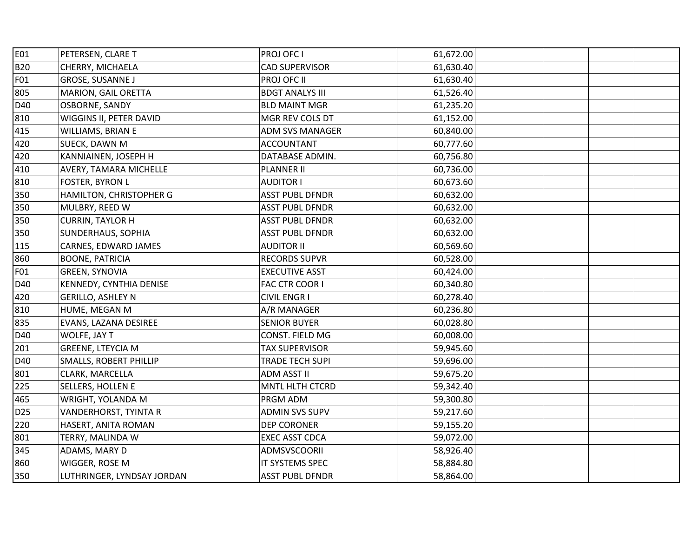| E01             | PETERSEN, CLARE T             | PROJ OFC I             | 61,672.00 |  |
|-----------------|-------------------------------|------------------------|-----------|--|
| <b>B20</b>      | CHERRY, MICHAELA              | <b>CAD SUPERVISOR</b>  | 61,630.40 |  |
| F01             | GROSE, SUSANNE J              | PROJ OFC II            | 61,630.40 |  |
| 805             | MARION, GAIL ORETTA           | <b>BDGT ANALYS III</b> | 61,526.40 |  |
| D40             | OSBORNE, SANDY                | <b>BLD MAINT MGR</b>   | 61,235.20 |  |
| 810             | WIGGINS II, PETER DAVID       | MGR REV COLS DT        | 61,152.00 |  |
| 415             | WILLIAMS, BRIAN E             | <b>ADM SVS MANAGER</b> | 60,840.00 |  |
| 420             | SUECK, DAWN M                 | <b>ACCOUNTANT</b>      | 60,777.60 |  |
| 420             | KANNIAINEN, JOSEPH H          | DATABASE ADMIN.        | 60,756.80 |  |
| 410             | <b>AVERY, TAMARA MICHELLE</b> | <b>PLANNER II</b>      | 60,736.00 |  |
| 810             | <b>FOSTER, BYRON L</b>        | <b>AUDITOR I</b>       | 60,673.60 |  |
| 350             | HAMILTON, CHRISTOPHER G       | <b>ASST PUBL DFNDR</b> | 60,632.00 |  |
| 350             | MULBRY, REED W                | <b>ASST PUBL DFNDR</b> | 60,632.00 |  |
| 350             | <b>CURRIN, TAYLOR H</b>       | <b>ASST PUBL DFNDR</b> | 60,632.00 |  |
| 350             | <b>SUNDERHAUS, SOPHIA</b>     | <b>ASST PUBL DFNDR</b> | 60,632.00 |  |
| 115             | CARNES, EDWARD JAMES          | <b>AUDITOR II</b>      | 60,569.60 |  |
| 860             | <b>BOONE, PATRICIA</b>        | <b>RECORDS SUPVR</b>   | 60,528.00 |  |
| F01             | GREEN, SYNOVIA                | <b>EXECUTIVE ASST</b>  | 60,424.00 |  |
| D40             | KENNEDY, CYNTHIA DENISE       | FAC CTR COOR I         | 60,340.80 |  |
| 420             | <b>GERILLO, ASHLEY N</b>      | <b>CIVIL ENGR I</b>    | 60,278.40 |  |
| 810             | HUME, MEGAN M                 | A/R MANAGER            | 60,236.80 |  |
| 835             | EVANS, LAZANA DESIREE         | <b>SENIOR BUYER</b>    | 60,028.80 |  |
| D40             | WOLFE, JAY T                  | CONST. FIELD MG        | 60,008.00 |  |
| 201             | <b>GREENE, LTEYCIA M</b>      | <b>TAX SUPERVISOR</b>  | 59,945.60 |  |
| D40             | <b>SMALLS, ROBERT PHILLIP</b> | <b>TRADE TECH SUPI</b> | 59,696.00 |  |
| 801             | CLARK, MARCELLA               | ADM ASST II            | 59,675.20 |  |
| 225             | <b>SELLERS, HOLLEN E</b>      | MNTL HLTH CTCRD        | 59,342.40 |  |
| 465             | WRIGHT, YOLANDA M             | PRGM ADM               | 59,300.80 |  |
| D <sub>25</sub> | VANDERHORST, TYINTA R         | <b>ADMIN SVS SUPV</b>  | 59,217.60 |  |
| 220             | HASERT, ANITA ROMAN           | DEP CORONER            | 59,155.20 |  |
| 801             | TERRY, MALINDA W              | <b>EXEC ASST CDCA</b>  | 59,072.00 |  |
| 345             | <b>ADAMS, MARY D</b>          | ADMSVSCOORII           | 58,926.40 |  |
| 860             | WIGGER, ROSE M                | IT SYSTEMS SPEC        | 58,884.80 |  |
| 350             | LUTHRINGER, LYNDSAY JORDAN    | <b>ASST PUBL DFNDR</b> | 58,864.00 |  |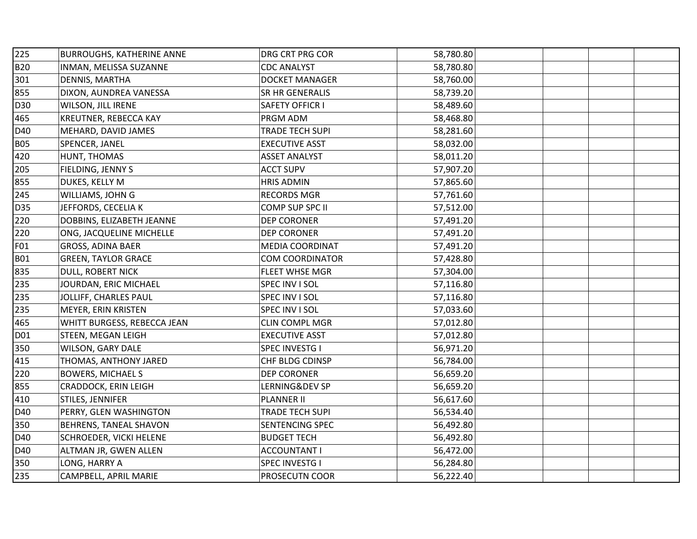| 225        | <b>BURROUGHS, KATHERINE ANNE</b> | DRG CRT PRG COR        | 58,780.80 |  |
|------------|----------------------------------|------------------------|-----------|--|
| <b>B20</b> | INMAN, MELISSA SUZANNE           | <b>CDC ANALYST</b>     | 58,780.80 |  |
| 301        | DENNIS, MARTHA                   | DOCKET MANAGER         | 58,760.00 |  |
| 855        | DIXON, AUNDREA VANESSA           | SR HR GENERALIS        | 58,739.20 |  |
| D30        | WILSON, JILL IRENE               | <b>SAFETY OFFICR I</b> | 58,489.60 |  |
| 465        | KREUTNER, REBECCA KAY            | PRGM ADM               | 58,468.80 |  |
| D40        | MEHARD, DAVID JAMES              | TRADE TECH SUPI        | 58,281.60 |  |
| <b>B05</b> | SPENCER, JANEL                   | <b>EXECUTIVE ASST</b>  | 58,032.00 |  |
| 420        | HUNT, THOMAS                     | <b>ASSET ANALYST</b>   | 58,011.20 |  |
| 205        | FIELDING, JENNY S                | <b>ACCT SUPV</b>       | 57,907.20 |  |
| 855        | DUKES, KELLY M                   | <b>HRIS ADMIN</b>      | 57,865.60 |  |
| 245        | WILLIAMS, JOHN G                 | <b>RECORDS MGR</b>     | 57,761.60 |  |
| D35        | JEFFORDS, CECELIA K              | COMP SUP SPC II        | 57,512.00 |  |
| 220        | DOBBINS, ELIZABETH JEANNE        | <b>DEP CORONER</b>     | 57,491.20 |  |
| 220        | ONG, JACQUELINE MICHELLE         | DEP CORONER            | 57,491.20 |  |
| F01        | <b>GROSS, ADINA BAER</b>         | MEDIA COORDINAT        | 57,491.20 |  |
| <b>B01</b> | <b>GREEN, TAYLOR GRACE</b>       | <b>COM COORDINATOR</b> | 57,428.80 |  |
| 835        | DULL, ROBERT NICK                | <b>FLEET WHSE MGR</b>  | 57,304.00 |  |
| 235        | JOURDAN, ERIC MICHAEL            | SPEC INV I SOL         | 57,116.80 |  |
| 235        | JOLLIFF, CHARLES PAUL            | SPEC INV I SOL         | 57,116.80 |  |
| 235        | MEYER, ERIN KRISTEN              | SPEC INV I SOL         | 57,033.60 |  |
| 465        | WHITT BURGESS, REBECCA JEAN      | <b>CLIN COMPL MGR</b>  | 57,012.80 |  |
| D01        | <b>STEEN, MEGAN LEIGH</b>        | <b>EXECUTIVE ASST</b>  | 57,012.80 |  |
| 350        | WILSON, GARY DALE                | SPEC INVESTG I         | 56,971.20 |  |
| 415        | THOMAS, ANTHONY JARED            | CHF BLDG CDINSP        | 56,784.00 |  |
| 220        | <b>BOWERS, MICHAEL S</b>         | <b>DEP CORONER</b>     | 56,659.20 |  |
| 855        | CRADDOCK, ERIN LEIGH             | LERNING&DEV SP         | 56,659.20 |  |
| 410        | STILES, JENNIFER                 | <b>PLANNER II</b>      | 56,617.60 |  |
| D40        | PERRY, GLEN WASHINGTON           | <b>TRADE TECH SUPI</b> | 56,534.40 |  |
| 350        | <b>BEHRENS, TANEAL SHAVON</b>    | SENTENCING SPEC        | 56,492.80 |  |
| D40        | <b>SCHROEDER, VICKI HELENE</b>   | <b>BUDGET TECH</b>     | 56,492.80 |  |
| D40        | ALTMAN JR, GWEN ALLEN            | <b>ACCOUNTANT I</b>    | 56,472.00 |  |
| 350        | LONG, HARRY A                    | <b>SPEC INVESTG I</b>  | 56,284.80 |  |
| 235        | CAMPBELL, APRIL MARIE            | PROSECUTN COOR         | 56,222.40 |  |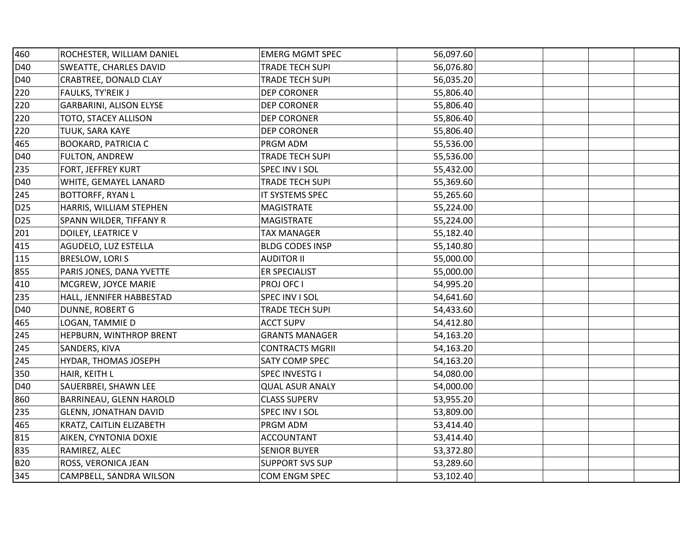| 460             | ROCHESTER, WILLIAM DANIEL      | <b>EMERG MGMT SPEC</b> | 56,097.60 |  |
|-----------------|--------------------------------|------------------------|-----------|--|
| D40             | <b>SWEATTE, CHARLES DAVID</b>  | TRADE TECH SUPI        | 56,076.80 |  |
| D40             | CRABTREE, DONALD CLAY          | <b>TRADE TECH SUPI</b> | 56,035.20 |  |
| 220             | FAULKS, TY'REIK J              | <b>DEP CORONER</b>     | 55,806.40 |  |
| 220             | <b>GARBARINI, ALISON ELYSE</b> | DEP CORONER            | 55,806.40 |  |
| 220             | TOTO, STACEY ALLISON           | <b>DEP CORONER</b>     | 55,806.40 |  |
| 220             | TUUK, SARA KAYE                | <b>DEP CORONER</b>     | 55,806.40 |  |
| 465             | <b>BOOKARD, PATRICIA C</b>     | PRGM ADM               | 55,536.00 |  |
| D40             | FULTON, ANDREW                 | <b>TRADE TECH SUPI</b> | 55,536.00 |  |
| 235             | <b>FORT, JEFFREY KURT</b>      | SPEC INV I SOL         | 55,432.00 |  |
| D40             | WHITE, GEMAYEL LANARD          | TRADE TECH SUPI        | 55,369.60 |  |
| 245             | <b>BOTTORFF, RYAN L</b>        | IT SYSTEMS SPEC        | 55,265.60 |  |
| D <sub>25</sub> | HARRIS, WILLIAM STEPHEN        | <b>MAGISTRATE</b>      | 55,224.00 |  |
| D <sub>25</sub> | SPANN WILDER, TIFFANY R        | <b>MAGISTRATE</b>      | 55,224.00 |  |
| 201             | DOILEY, LEATRICE V             | <b>TAX MANAGER</b>     | 55,182.40 |  |
| 415             | AGUDELO, LUZ ESTELLA           | <b>BLDG CODES INSP</b> | 55,140.80 |  |
| 115             | BRESLOW, LORIS                 | <b>AUDITOR II</b>      | 55,000.00 |  |
| 855             | PARIS JONES, DANA YVETTE       | ER SPECIALIST          | 55,000.00 |  |
| 410             | MCGREW, JOYCE MARIE            | PROJ OFC I             | 54,995.20 |  |
| 235             | HALL, JENNIFER HABBESTAD       | SPEC INV I SOL         | 54,641.60 |  |
| D40             | DUNNE, ROBERT G                | TRADE TECH SUPI        | 54,433.60 |  |
| 465             | LOGAN, TAMMIE D                | <b>ACCT SUPV</b>       | 54,412.80 |  |
| 245             | HEPBURN, WINTHROP BRENT        | <b>GRANTS MANAGER</b>  | 54,163.20 |  |
| 245             | SANDERS, KIVA                  | <b>CONTRACTS MGRII</b> | 54,163.20 |  |
| 245             | HYDAR, THOMAS JOSEPH           | SATY COMP SPEC         | 54,163.20 |  |
| 350             | HAIR, KEITH L                  | SPEC INVESTG I         | 54,080.00 |  |
| D40             | SAUERBREI, SHAWN LEE           | <b>QUAL ASUR ANALY</b> | 54,000.00 |  |
| 860             | BARRINEAU, GLENN HAROLD        | <b>CLASS SUPERV</b>    | 53,955.20 |  |
| 235             | <b>GLENN, JONATHAN DAVID</b>   | SPEC INV I SOL         | 53,809.00 |  |
| 465             | KRATZ, CAITLIN ELIZABETH       | PRGM ADM               | 53,414.40 |  |
| 815             | AIKEN, CYNTONIA DOXIE          | <b>ACCOUNTANT</b>      | 53,414.40 |  |
| 835             | RAMIREZ, ALEC                  | <b>SENIOR BUYER</b>    | 53,372.80 |  |
| <b>B20</b>      | ROSS, VERONICA JEAN            | <b>SUPPORT SVS SUP</b> | 53,289.60 |  |
| 345             | CAMPBELL, SANDRA WILSON        | COM ENGM SPEC          | 53,102.40 |  |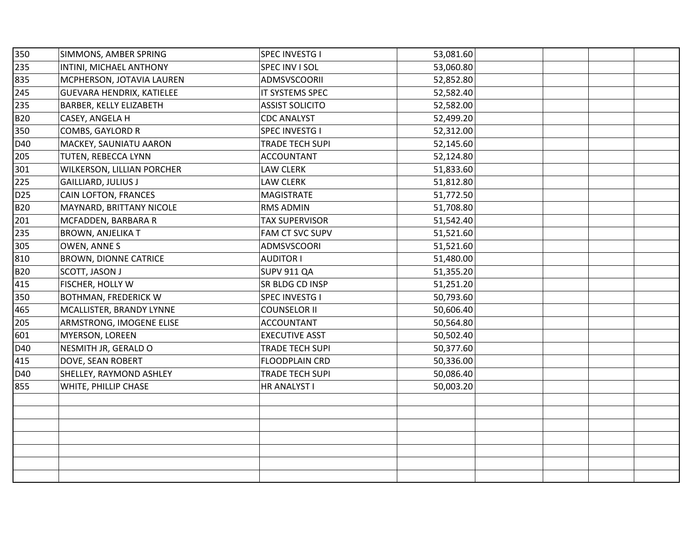| 350             | SIMMONS, AMBER SPRING          | SPEC INVESTG I         | 53,081.60 |  |
|-----------------|--------------------------------|------------------------|-----------|--|
| 235             | INTINI, MICHAEL ANTHONY        | SPEC INV I SOL         | 53,060.80 |  |
| 835             | MCPHERSON, JOTAVIA LAUREN      | <b>ADMSVSCOORII</b>    | 52,852.80 |  |
| 245             | GUEVARA HENDRIX, KATIELEE      | IT SYSTEMS SPEC        | 52,582.40 |  |
| 235             | <b>BARBER, KELLY ELIZABETH</b> | <b>ASSIST SOLICITO</b> | 52,582.00 |  |
| <b>B20</b>      | CASEY, ANGELA H                | <b>CDC ANALYST</b>     | 52,499.20 |  |
| 350             | COMBS, GAYLORD R               | <b>SPEC INVESTG I</b>  | 52,312.00 |  |
| D40             | MACKEY, SAUNIATU AARON         | TRADE TECH SUPI        | 52,145.60 |  |
| 205             | TUTEN, REBECCA LYNN            | <b>ACCOUNTANT</b>      | 52,124.80 |  |
| 301             | WILKERSON, LILLIAN PORCHER     | LAW CLERK              | 51,833.60 |  |
| 225             | <b>GAILLIARD, JULIUS J</b>     | LAW CLERK              | 51,812.80 |  |
| D <sub>25</sub> | CAIN LOFTON, FRANCES           | MAGISTRATE             | 51,772.50 |  |
| <b>B20</b>      | MAYNARD, BRITTANY NICOLE       | <b>RMS ADMIN</b>       | 51,708.80 |  |
| 201             | MCFADDEN, BARBARA R            | <b>TAX SUPERVISOR</b>  | 51,542.40 |  |
| 235             | <b>BROWN, ANJELIKA T</b>       | FAM CT SVC SUPV        | 51,521.60 |  |
| 305             | OWEN, ANNE S                   | ADMSVSCOORI            | 51,521.60 |  |
| 810             | <b>BROWN, DIONNE CATRICE</b>   | <b>AUDITOR I</b>       | 51,480.00 |  |
| <b>B20</b>      | SCOTT, JASON J                 | <b>SUPV 911 QA</b>     | 51,355.20 |  |
| 415             | <b>FISCHER, HOLLY W</b>        | SR BLDG CD INSP        | 51,251.20 |  |
| 350             | BOTHMAN, FREDERICK W           | <b>SPEC INVESTG I</b>  | 50,793.60 |  |
| 465             | MCALLISTER, BRANDY LYNNE       | <b>COUNSELOR II</b>    | 50,606.40 |  |
| 205             | ARMSTRONG, IMOGENE ELISE       | <b>ACCOUNTANT</b>      | 50,564.80 |  |
| 601             | MYERSON, LOREEN                | <b>EXECUTIVE ASST</b>  | 50,502.40 |  |
| D40             | NESMITH JR, GERALD O           | TRADE TECH SUPI        | 50,377.60 |  |
| 415             | DOVE, SEAN ROBERT              | FLOODPLAIN CRD         | 50,336.00 |  |
| D40             | SHELLEY, RAYMOND ASHLEY        | TRADE TECH SUPI        | 50,086.40 |  |
| 855             | WHITE, PHILLIP CHASE           | HR ANALYST I           | 50,003.20 |  |
|                 |                                |                        |           |  |
|                 |                                |                        |           |  |
|                 |                                |                        |           |  |
|                 |                                |                        |           |  |
|                 |                                |                        |           |  |
|                 |                                |                        |           |  |
|                 |                                |                        |           |  |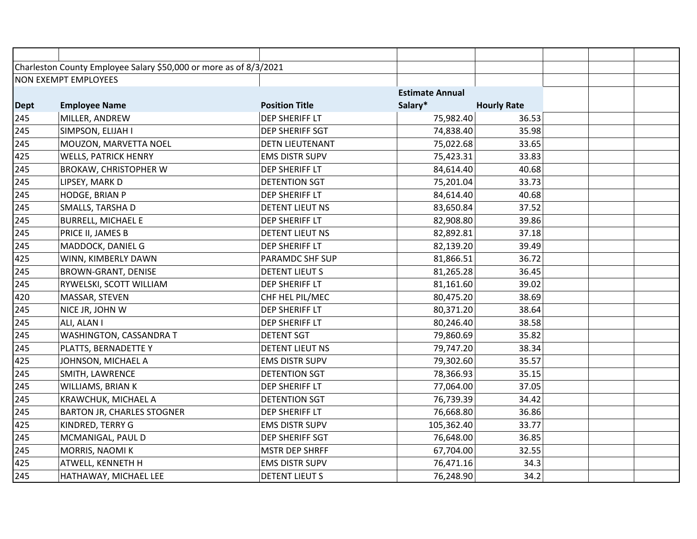|             | Charleston County Employee Salary \$50,000 or more as of 8/3/2021 |                        |                        |                    |  |
|-------------|-------------------------------------------------------------------|------------------------|------------------------|--------------------|--|
|             | <b>NON EXEMPT EMPLOYEES</b>                                       |                        |                        |                    |  |
|             |                                                                   |                        | <b>Estimate Annual</b> |                    |  |
| <b>Dept</b> | <b>Employee Name</b>                                              | <b>Position Title</b>  | Salary*                | <b>Hourly Rate</b> |  |
| 245         | MILLER, ANDREW                                                    | DEP SHERIFF LT         | 75,982.40              | 36.53              |  |
| 245         | SIMPSON, ELIJAH I                                                 | DEP SHERIFF SGT        | 74,838.40              | 35.98              |  |
| 245         | MOUZON, MARVETTA NOEL                                             | <b>DETN LIEUTENANT</b> | 75,022.68              | 33.65              |  |
| 425         | <b>WELLS, PATRICK HENRY</b>                                       | <b>EMS DISTR SUPV</b>  | 75,423.31              | 33.83              |  |
| 245         | BROKAW, CHRISTOPHER W                                             | DEP SHERIFF LT         | 84,614.40              | 40.68              |  |
| 245         | LIPSEY, MARK D                                                    | <b>DETENTION SGT</b>   | 75,201.04              | 33.73              |  |
| 245         | HODGE, BRIAN P                                                    | DEP SHERIFF LT         | 84,614.40              | 40.68              |  |
| 245         | SMALLS, TARSHA D                                                  | <b>DETENT LIEUT NS</b> | 83,650.84              | 37.52              |  |
| 245         | <b>BURRELL, MICHAEL E</b>                                         | DEP SHERIFF LT         | 82,908.80              | 39.86              |  |
| 245         | PRICE II, JAMES B                                                 | DETENT LIEUT NS        | 82,892.81              | 37.18              |  |
| 245         | MADDOCK, DANIEL G                                                 | DEP SHERIFF LT         | 82,139.20              | 39.49              |  |
| 425         | WINN, KIMBERLY DAWN                                               | PARAMDC SHF SUP        | 81,866.51              | 36.72              |  |
| 245         | <b>BROWN-GRANT, DENISE</b>                                        | <b>DETENT LIEUT S</b>  | 81,265.28              | 36.45              |  |
| 245         | RYWELSKI, SCOTT WILLIAM                                           | DEP SHERIFF LT         | 81,161.60              | 39.02              |  |
| 420         | MASSAR, STEVEN                                                    | CHF HEL PIL/MEC        | 80,475.20              | 38.69              |  |
| 245         | NICE JR, JOHN W                                                   | DEP SHERIFF LT         | 80,371.20              | 38.64              |  |
| 245         | ALI, ALAN I                                                       | DEP SHERIFF LT         | 80,246.40              | 38.58              |  |
| 245         | WASHINGTON, CASSANDRA T                                           | <b>DETENT SGT</b>      | 79,860.69              | 35.82              |  |
| 245         | PLATTS, BERNADETTE Y                                              | <b>DETENT LIEUT NS</b> | 79,747.20              | 38.34              |  |
| 425         | JOHNSON, MICHAEL A                                                | <b>EMS DISTR SUPV</b>  | 79,302.60              | 35.57              |  |
| 245         | SMITH, LAWRENCE                                                   | <b>DETENTION SGT</b>   | 78,366.93              | 35.15              |  |
| 245         | WILLIAMS, BRIAN K                                                 | DEP SHERIFF LT         | 77,064.00              | 37.05              |  |
| 245         | KRAWCHUK, MICHAEL A                                               | <b>DETENTION SGT</b>   | 76,739.39              | 34.42              |  |
| 245         | <b>BARTON JR, CHARLES STOGNER</b>                                 | DEP SHERIFF LT         | 76,668.80              | 36.86              |  |
| 425         | KINDRED, TERRY G                                                  | EMS DISTR SUPV         | 105,362.40             | 33.77              |  |
| 245         | MCMANIGAL, PAUL D                                                 | DEP SHERIFF SGT        | 76,648.00              | 36.85              |  |
| 245         | MORRIS, NAOMI K                                                   | <b>MSTR DEP SHRFF</b>  | 67,704.00              | 32.55              |  |
| 425         | ATWELL, KENNETH H                                                 | <b>EMS DISTR SUPV</b>  | 76,471.16              | 34.3               |  |
| 245         | HATHAWAY, MICHAEL LEE                                             | <b>DETENT LIEUT S</b>  | 76,248.90              | 34.2               |  |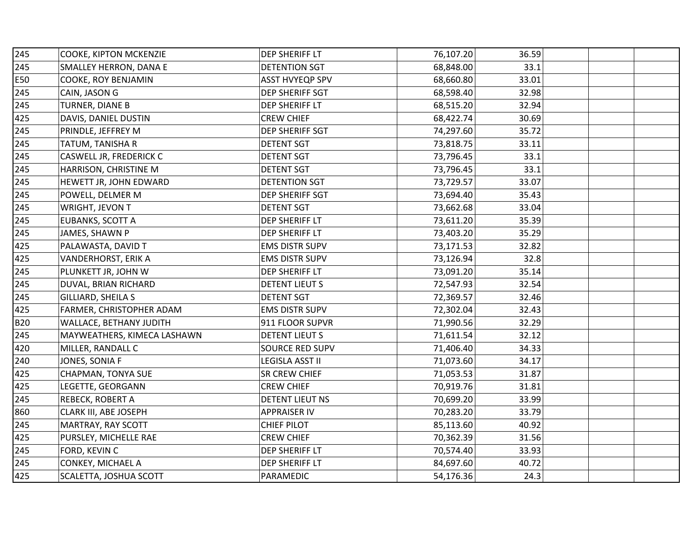| 245        | COOKE, KIPTON MCKENZIE      | DEP SHERIFF LT         | 76,107.20 | 36.59 |  |
|------------|-----------------------------|------------------------|-----------|-------|--|
| 245        | SMALLEY HERRON, DANA E      | <b>DETENTION SGT</b>   | 68,848.00 | 33.1  |  |
| E50        | COOKE, ROY BENJAMIN         | <b>ASST HVYEQP SPV</b> | 68,660.80 | 33.01 |  |
| 245        | CAIN, JASON G               | DEP SHERIFF SGT        | 68,598.40 | 32.98 |  |
| 245        | TURNER, DIANE B             | DEP SHERIFF LT         | 68,515.20 | 32.94 |  |
| 425        | DAVIS, DANIEL DUSTIN        | <b>CREW CHIEF</b>      | 68,422.74 | 30.69 |  |
| 245        | PRINDLE, JEFFREY M          | DEP SHERIFF SGT        | 74,297.60 | 35.72 |  |
| 245        | TATUM, TANISHA R            | <b>DETENT SGT</b>      | 73,818.75 | 33.11 |  |
| 245        | CASWELL JR, FREDERICK C     | <b>DETENT SGT</b>      | 73,796.45 | 33.1  |  |
| 245        | HARRISON, CHRISTINE M       | <b>DETENT SGT</b>      | 73,796.45 | 33.1  |  |
| 245        | HEWETT JR, JOHN EDWARD      | <b>DETENTION SGT</b>   | 73,729.57 | 33.07 |  |
| 245        | POWELL, DELMER M            | DEP SHERIFF SGT        | 73,694.40 | 35.43 |  |
| 245        | WRIGHT, JEVON T             | <b>DETENT SGT</b>      | 73,662.68 | 33.04 |  |
| 245        | EUBANKS, SCOTT A            | DEP SHERIFF LT         | 73,611.20 | 35.39 |  |
| 245        | JAMES, SHAWN P              | DEP SHERIFF LT         | 73,403.20 | 35.29 |  |
| 425        | PALAWASTA, DAVID T          | <b>EMS DISTR SUPV</b>  | 73,171.53 | 32.82 |  |
| 425        | VANDERHORST, ERIK A         | <b>EMS DISTR SUPV</b>  | 73,126.94 | 32.8  |  |
| 245        | PLUNKETT JR, JOHN W         | DEP SHERIFF LT         | 73,091.20 | 35.14 |  |
| 245        | DUVAL, BRIAN RICHARD        | <b>DETENT LIEUT S</b>  | 72,547.93 | 32.54 |  |
| 245        | GILLIARD, SHEILA S          | <b>DETENT SGT</b>      | 72,369.57 | 32.46 |  |
| 425        | FARMER, CHRISTOPHER ADAM    | <b>EMS DISTR SUPV</b>  | 72,302.04 | 32.43 |  |
| <b>B20</b> | WALLACE, BETHANY JUDITH     | 911 FLOOR SUPVR        | 71,990.56 | 32.29 |  |
| 245        | MAYWEATHERS, KIMECA LASHAWN | <b>DETENT LIEUT S</b>  | 71,611.54 | 32.12 |  |
| 420        | MILLER, RANDALL C           | <b>SOURCE RED SUPV</b> | 71,406.40 | 34.33 |  |
| 240        | JONES, SONIA F              | LEGISLA ASST II        | 71,073.60 | 34.17 |  |
| 425        | CHAPMAN, TONYA SUE          | SR CREW CHIEF          | 71,053.53 | 31.87 |  |
| 425        | LEGETTE, GEORGANN           | <b>CREW CHIEF</b>      | 70,919.76 | 31.81 |  |
| 245        | REBECK, ROBERT A            | DETENT LIEUT NS        | 70,699.20 | 33.99 |  |
| 860        | CLARK III, ABE JOSEPH       | <b>APPRAISER IV</b>    | 70,283.20 | 33.79 |  |
| 245        | MARTRAY, RAY SCOTT          | <b>CHIEF PILOT</b>     | 85,113.60 | 40.92 |  |
| 425        | PURSLEY, MICHELLE RAE       | <b>CREW CHIEF</b>      | 70,362.39 | 31.56 |  |
| 245        | FORD, KEVIN C               | DEP SHERIFF LT         | 70,574.40 | 33.93 |  |
| 245        | CONKEY, MICHAEL A           | DEP SHERIFF LT         | 84,697.60 | 40.72 |  |
| 425        | SCALETTA, JOSHUA SCOTT      | PARAMEDIC              | 54,176.36 | 24.3  |  |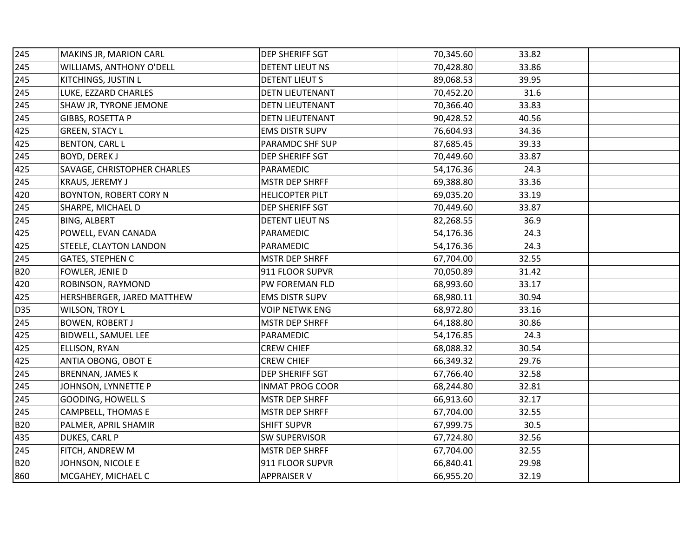| 245        | MAKINS JR, MARION CARL      | <b>DEP SHERIFF SGT</b> | 70,345.60 | 33.82 |  |
|------------|-----------------------------|------------------------|-----------|-------|--|
| 245        | WILLIAMS, ANTHONY O'DELL    | DETENT LIEUT NS        | 70,428.80 | 33.86 |  |
| 245        | KITCHINGS, JUSTIN L         | <b>DETENT LIEUT S</b>  | 89,068.53 | 39.95 |  |
| 245        | LUKE, EZZARD CHARLES        | <b>DETN LIEUTENANT</b> | 70,452.20 | 31.6  |  |
| 245        | SHAW JR, TYRONE JEMONE      | <b>DETN LIEUTENANT</b> | 70,366.40 | 33.83 |  |
| 245        | GIBBS, ROSETTA P            | DETN LIEUTENANT        | 90,428.52 | 40.56 |  |
| 425        | <b>GREEN, STACY L</b>       | <b>EMS DISTR SUPV</b>  | 76,604.93 | 34.36 |  |
| 425        | <b>BENTON, CARL L</b>       | PARAMDC SHF SUP        | 87,685.45 | 39.33 |  |
| 245        | <b>BOYD, DEREK J</b>        | DEP SHERIFF SGT        | 70,449.60 | 33.87 |  |
| 425        | SAVAGE, CHRISTOPHER CHARLES | PARAMEDIC              | 54,176.36 | 24.3  |  |
| 245        | KRAUS, JEREMY J             | <b>MSTR DEP SHRFF</b>  | 69,388.80 | 33.36 |  |
| 420        | BOYNTON, ROBERT CORY N      | <b>HELICOPTER PILT</b> | 69,035.20 | 33.19 |  |
| 245        | SHARPE, MICHAEL D           | DEP SHERIFF SGT        | 70,449.60 | 33.87 |  |
| 245        | <b>BING, ALBERT</b>         | <b>DETENT LIEUT NS</b> | 82,268.55 | 36.9  |  |
| 425        | POWELL, EVAN CANADA         | PARAMEDIC              | 54,176.36 | 24.3  |  |
| 425        | STEELE, CLAYTON LANDON      | PARAMEDIC              | 54,176.36 | 24.3  |  |
| 245        | <b>GATES, STEPHEN C</b>     | <b>MSTR DEP SHRFF</b>  | 67,704.00 | 32.55 |  |
| <b>B20</b> | FOWLER, JENIE D             | 911 FLOOR SUPVR        | 70,050.89 | 31.42 |  |
| 420        | ROBINSON, RAYMOND           | PW FOREMAN FLD         | 68,993.60 | 33.17 |  |
| 425        | HERSHBERGER, JARED MATTHEW  | <b>EMS DISTR SUPV</b>  | 68,980.11 | 30.94 |  |
| D35        | WILSON, TROY L              | <b>VOIP NETWK ENG</b>  | 68,972.80 | 33.16 |  |
| 245        | <b>BOWEN, ROBERT J</b>      | <b>MSTR DEP SHRFF</b>  | 64,188.80 | 30.86 |  |
| 425        | BIDWELL, SAMUEL LEE         | PARAMEDIC              | 54,176.85 | 24.3  |  |
| 425        | ELLISON, RYAN               | <b>CREW CHIEF</b>      | 68,088.32 | 30.54 |  |
| 425        | ANTIA OBONG, OBOT E         | <b>CREW CHIEF</b>      | 66,349.32 | 29.76 |  |
| 245        | <b>BRENNAN, JAMES K</b>     | DEP SHERIFF SGT        | 67,766.40 | 32.58 |  |
| 245        | JOHNSON, LYNNETTE P         | <b>INMAT PROG COOR</b> | 68,244.80 | 32.81 |  |
| 245        | <b>GOODING, HOWELL S</b>    | <b>MSTR DEP SHRFF</b>  | 66,913.60 | 32.17 |  |
| 245        | CAMPBELL, THOMAS E          | <b>MSTR DEP SHRFF</b>  | 67,704.00 | 32.55 |  |
| <b>B20</b> | PALMER, APRIL SHAMIR        | <b>SHIFT SUPVR</b>     | 67,999.75 | 30.5  |  |
| 435        | DUKES, CARL P               | <b>SW SUPERVISOR</b>   | 67,724.80 | 32.56 |  |
| 245        | FITCH, ANDREW M             | <b>MSTR DEP SHRFF</b>  | 67,704.00 | 32.55 |  |
| <b>B20</b> | JOHNSON, NICOLE E           | 911 FLOOR SUPVR        | 66,840.41 | 29.98 |  |
| 860        | MCGAHEY, MICHAEL C          | <b>APPRAISER V</b>     | 66,955.20 | 32.19 |  |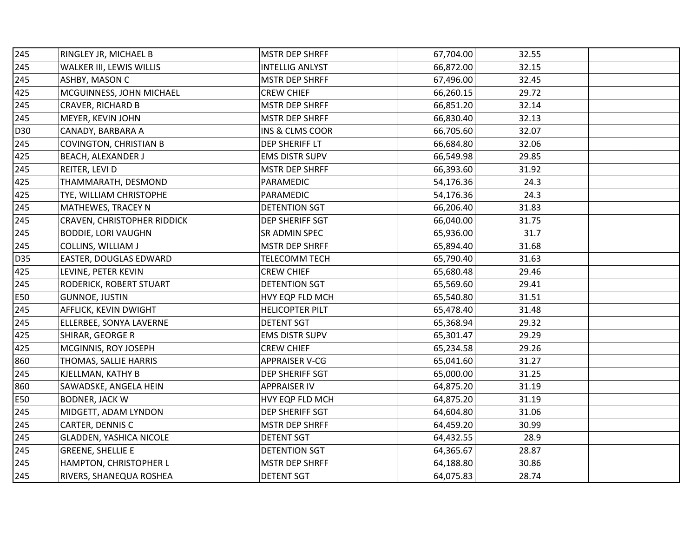| 245 | RINGLEY JR, MICHAEL B          | <b>MSTR DEP SHRFF</b>  | 67,704.00 | 32.55 |  |
|-----|--------------------------------|------------------------|-----------|-------|--|
| 245 | WALKER III, LEWIS WILLIS       | <b>INTELLIG ANLYST</b> | 66,872.00 | 32.15 |  |
| 245 | ASHBY, MASON C                 | <b>MSTR DEP SHRFF</b>  | 67,496.00 | 32.45 |  |
| 425 | MCGUINNESS, JOHN MICHAEL       | <b>CREW CHIEF</b>      | 66,260.15 | 29.72 |  |
| 245 | CRAVER, RICHARD B              | <b>MSTR DEP SHRFF</b>  | 66,851.20 | 32.14 |  |
| 245 | MEYER, KEVIN JOHN              | <b>MSTR DEP SHRFF</b>  | 66,830.40 | 32.13 |  |
| D30 | CANADY, BARBARA A              | INS & CLMS COOR        | 66,705.60 | 32.07 |  |
| 245 | <b>COVINGTON, CHRISTIAN B</b>  | DEP SHERIFF LT         | 66,684.80 | 32.06 |  |
| 425 | BEACH, ALEXANDER J             | <b>EMS DISTR SUPV</b>  | 66,549.98 | 29.85 |  |
| 245 | REITER, LEVI D                 | <b>MSTR DEP SHRFF</b>  | 66,393.60 | 31.92 |  |
| 425 | THAMMARATH, DESMOND            | PARAMEDIC              | 54,176.36 | 24.3  |  |
| 425 | TYE, WILLIAM CHRISTOPHE        | PARAMEDIC              | 54,176.36 | 24.3  |  |
| 245 | MATHEWES, TRACEY N             | <b>DETENTION SGT</b>   | 66,206.40 | 31.83 |  |
| 245 | CRAVEN, CHRISTOPHER RIDDICK    | DEP SHERIFF SGT        | 66,040.00 | 31.75 |  |
| 245 | <b>BODDIE, LORI VAUGHN</b>     | SR ADMIN SPEC          | 65,936.00 | 31.7  |  |
| 245 | COLLINS, WILLIAM J             | <b>MSTR DEP SHRFF</b>  | 65,894.40 | 31.68 |  |
| D35 | EASTER, DOUGLAS EDWARD         | <b>TELECOMM TECH</b>   | 65,790.40 | 31.63 |  |
| 425 | LEVINE, PETER KEVIN            | <b>CREW CHIEF</b>      | 65,680.48 | 29.46 |  |
| 245 | RODERICK, ROBERT STUART        | <b>DETENTION SGT</b>   | 65,569.60 | 29.41 |  |
| E50 | <b>GUNNOE, JUSTIN</b>          | HVY EQP FLD MCH        | 65,540.80 | 31.51 |  |
| 245 | AFFLICK, KEVIN DWIGHT          | <b>HELICOPTER PILT</b> | 65,478.40 | 31.48 |  |
| 245 | ELLERBEE, SONYA LAVERNE        | <b>DETENT SGT</b>      | 65,368.94 | 29.32 |  |
| 425 | SHIRAR, GEORGE R               | <b>EMS DISTR SUPV</b>  | 65,301.47 | 29.29 |  |
| 425 | MCGINNIS, ROY JOSEPH           | <b>CREW CHIEF</b>      | 65,234.58 | 29.26 |  |
| 860 | THOMAS, SALLIE HARRIS          | <b>APPRAISER V-CG</b>  | 65,041.60 | 31.27 |  |
| 245 | KJELLMAN, KATHY B              | DEP SHERIFF SGT        | 65,000.00 | 31.25 |  |
| 860 | SAWADSKE, ANGELA HEIN          | <b>APPRAISER IV</b>    | 64,875.20 | 31.19 |  |
| E50 | <b>BODNER, JACK W</b>          | HVY EQP FLD MCH        | 64,875.20 | 31.19 |  |
| 245 | MIDGETT, ADAM LYNDON           | DEP SHERIFF SGT        | 64,604.80 | 31.06 |  |
| 245 | CARTER, DENNIS C               | <b>MSTR DEP SHRFF</b>  | 64,459.20 | 30.99 |  |
| 245 | <b>GLADDEN, YASHICA NICOLE</b> | <b>DETENT SGT</b>      | 64,432.55 | 28.9  |  |
| 245 | <b>GREENE, SHELLIE E</b>       | <b>DETENTION SGT</b>   | 64,365.67 | 28.87 |  |
| 245 | HAMPTON, CHRISTOPHER L         | <b>MSTR DEP SHRFF</b>  | 64,188.80 | 30.86 |  |
| 245 | RIVERS, SHANEQUA ROSHEA        | <b>DETENT SGT</b>      | 64,075.83 | 28.74 |  |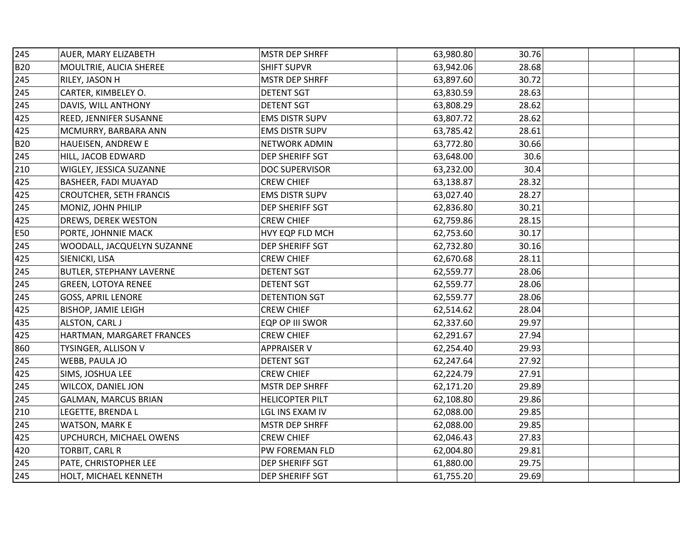| 245        | AUER, MARY ELIZABETH            | <b>MSTR DEP SHRFF</b>  | 63,980.80 | 30.76 |  |  |
|------------|---------------------------------|------------------------|-----------|-------|--|--|
| <b>B20</b> | MOULTRIE, ALICIA SHEREE         | <b>SHIFT SUPVR</b>     | 63,942.06 | 28.68 |  |  |
| 245        | RILEY, JASON H                  | <b>MSTR DEP SHRFF</b>  | 63,897.60 | 30.72 |  |  |
| 245        | CARTER, KIMBELEY O.             | <b>DETENT SGT</b>      | 63,830.59 | 28.63 |  |  |
| 245        | DAVIS, WILL ANTHONY             | <b>DETENT SGT</b>      | 63,808.29 | 28.62 |  |  |
| 425        | REED, JENNIFER SUSANNE          | <b>EMS DISTR SUPV</b>  | 63,807.72 | 28.62 |  |  |
| 425        | MCMURRY, BARBARA ANN            | <b>EMS DISTR SUPV</b>  | 63,785.42 | 28.61 |  |  |
| <b>B20</b> | HAUEISEN, ANDREW E              | <b>NETWORK ADMIN</b>   | 63,772.80 | 30.66 |  |  |
| 245        | HILL, JACOB EDWARD              | DEP SHERIFF SGT        | 63,648.00 | 30.6  |  |  |
| 210        | WIGLEY, JESSICA SUZANNE         | <b>DOC SUPERVISOR</b>  | 63,232.00 | 30.4  |  |  |
| 425        | BASHEER, FADI MUAYAD            | <b>CREW CHIEF</b>      | 63,138.87 | 28.32 |  |  |
| 425        | <b>CROUTCHER, SETH FRANCIS</b>  | <b>EMS DISTR SUPV</b>  | 63,027.40 | 28.27 |  |  |
| 245        | MONIZ, JOHN PHILIP              | DEP SHERIFF SGT        | 62,836.80 | 30.21 |  |  |
| 425        | DREWS, DEREK WESTON             | <b>CREW CHIEF</b>      | 62,759.86 | 28.15 |  |  |
| E50        | PORTE, JOHNNIE MACK             | HVY EQP FLD MCH        | 62,753.60 | 30.17 |  |  |
| 245        | WOODALL, JACQUELYN SUZANNE      | DEP SHERIFF SGT        | 62,732.80 | 30.16 |  |  |
| 425        | SIENICKI, LISA                  | <b>CREW CHIEF</b>      | 62,670.68 | 28.11 |  |  |
| 245        | <b>BUTLER, STEPHANY LAVERNE</b> | <b>DETENT SGT</b>      | 62,559.77 | 28.06 |  |  |
| 245        | <b>GREEN, LOTOYA RENEE</b>      | <b>DETENT SGT</b>      | 62,559.77 | 28.06 |  |  |
| 245        | <b>GOSS, APRIL LENORE</b>       | <b>DETENTION SGT</b>   | 62,559.77 | 28.06 |  |  |
| 425        | <b>BISHOP, JAMIE LEIGH</b>      | <b>CREW CHIEF</b>      | 62,514.62 | 28.04 |  |  |
| 435        | <b>ALSTON, CARL J</b>           | EQP OP III SWOR        | 62,337.60 | 29.97 |  |  |
| 425        | HARTMAN, MARGARET FRANCES       | <b>CREW CHIEF</b>      | 62,291.67 | 27.94 |  |  |
| 860        | TYSINGER, ALLISON V             | <b>APPRAISER V</b>     | 62,254.40 | 29.93 |  |  |
| 245        | WEBB, PAULA JO                  | <b>DETENT SGT</b>      | 62,247.64 | 27.92 |  |  |
| 425        | SIMS, JOSHUA LEE                | <b>CREW CHIEF</b>      | 62,224.79 | 27.91 |  |  |
| 245        | WILCOX, DANIEL JON              | <b>MSTR DEP SHRFF</b>  | 62,171.20 | 29.89 |  |  |
| 245        | <b>GALMAN, MARCUS BRIAN</b>     | <b>HELICOPTER PILT</b> | 62,108.80 | 29.86 |  |  |
| 210        | LEGETTE, BRENDA L               | LGL INS EXAM IV        | 62,088.00 | 29.85 |  |  |
| 245        | <b>WATSON, MARK E</b>           | <b>MSTR DEP SHRFF</b>  | 62,088.00 | 29.85 |  |  |
| 425        | UPCHURCH, MICHAEL OWENS         | <b>CREW CHIEF</b>      | 62,046.43 | 27.83 |  |  |
| 420        | TORBIT, CARL R                  | PW FOREMAN FLD         | 62,004.80 | 29.81 |  |  |
| 245        | PATE, CHRISTOPHER LEE           | DEP SHERIFF SGT        | 61,880.00 | 29.75 |  |  |
| 245        | HOLT, MICHAEL KENNETH           | DEP SHERIFF SGT        | 61,755.20 | 29.69 |  |  |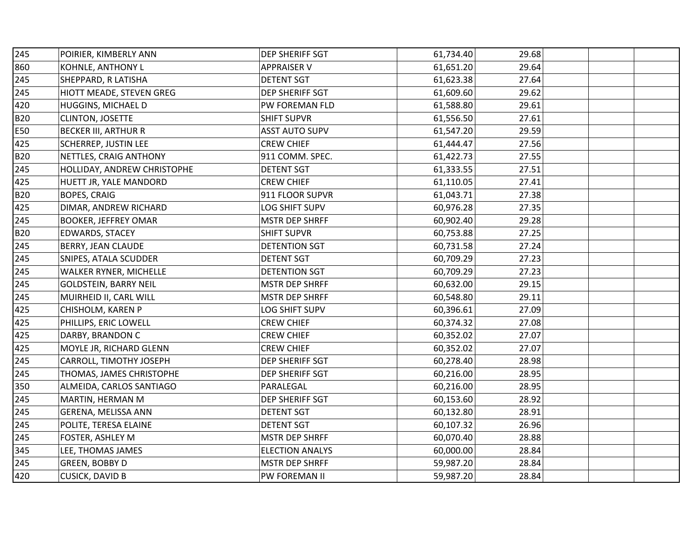| 245        | POIRIER, KIMBERLY ANN        | DEP SHERIFF SGT        | 61,734.40 | 29.68 |  |  |
|------------|------------------------------|------------------------|-----------|-------|--|--|
| 860        | KOHNLE, ANTHONY L            | <b>APPRAISER V</b>     | 61,651.20 | 29.64 |  |  |
| 245        | SHEPPARD, R LATISHA          | <b>DETENT SGT</b>      | 61,623.38 | 27.64 |  |  |
| 245        | HIOTT MEADE, STEVEN GREG     | DEP SHERIFF SGT        | 61,609.60 | 29.62 |  |  |
| 420        | HUGGINS, MICHAEL D           | PW FOREMAN FLD         | 61,588.80 | 29.61 |  |  |
| <b>B20</b> | CLINTON, JOSETTE             | <b>SHIFT SUPVR</b>     | 61,556.50 | 27.61 |  |  |
| E50        | <b>BECKER III, ARTHUR R</b>  | <b>ASST AUTO SUPV</b>  | 61,547.20 | 29.59 |  |  |
| 425        | <b>SCHERREP, JUSTIN LEE</b>  | <b>CREW CHIEF</b>      | 61,444.47 | 27.56 |  |  |
| <b>B20</b> | NETTLES, CRAIG ANTHONY       | 911 COMM. SPEC.        | 61,422.73 | 27.55 |  |  |
| 245        | HOLLIDAY, ANDREW CHRISTOPHE  | <b>DETENT SGT</b>      | 61,333.55 | 27.51 |  |  |
| 425        | HUETT JR, YALE MANDORD       | <b>CREW CHIEF</b>      | 61,110.05 | 27.41 |  |  |
| <b>B20</b> | <b>BOPES, CRAIG</b>          | 911 FLOOR SUPVR        | 61,043.71 | 27.38 |  |  |
| 425        | DIMAR, ANDREW RICHARD        | <b>LOG SHIFT SUPV</b>  | 60,976.28 | 27.35 |  |  |
| 245        | <b>BOOKER, JEFFREY OMAR</b>  | <b>MSTR DEP SHRFF</b>  | 60,902.40 | 29.28 |  |  |
| <b>B20</b> | <b>EDWARDS, STACEY</b>       | <b>SHIFT SUPVR</b>     | 60,753.88 | 27.25 |  |  |
| 245        | BERRY, JEAN CLAUDE           | DETENTION SGT          | 60,731.58 | 27.24 |  |  |
| 245        | <b>SNIPES, ATALA SCUDDER</b> | <b>DETENT SGT</b>      | 60,709.29 | 27.23 |  |  |
| 245        | WALKER RYNER, MICHELLE       | DETENTION SGT          | 60,709.29 | 27.23 |  |  |
| 245        | <b>GOLDSTEIN, BARRY NEIL</b> | <b>MSTR DEP SHRFF</b>  | 60,632.00 | 29.15 |  |  |
| 245        | MUIRHEID II, CARL WILL       | <b>MSTR DEP SHRFF</b>  | 60,548.80 | 29.11 |  |  |
| 425        | CHISHOLM, KAREN P            | LOG SHIFT SUPV         | 60,396.61 | 27.09 |  |  |
| 425        | PHILLIPS, ERIC LOWELL        | <b>CREW CHIEF</b>      | 60,374.32 | 27.08 |  |  |
| 425        | DARBY, BRANDON C             | <b>CREW CHIEF</b>      | 60,352.02 | 27.07 |  |  |
| 425        | MOYLE JR, RICHARD GLENN      | <b>CREW CHIEF</b>      | 60,352.02 | 27.07 |  |  |
| 245        | CARROLL, TIMOTHY JOSEPH      | DEP SHERIFF SGT        | 60,278.40 | 28.98 |  |  |
| 245        | THOMAS, JAMES CHRISTOPHE     | DEP SHERIFF SGT        | 60,216.00 | 28.95 |  |  |
| 350        | ALMEIDA, CARLOS SANTIAGO     | PARALEGAL              | 60,216.00 | 28.95 |  |  |
| 245        | MARTIN, HERMAN M             | DEP SHERIFF SGT        | 60,153.60 | 28.92 |  |  |
| 245        | GERENA, MELISSA ANN          | <b>DETENT SGT</b>      | 60,132.80 | 28.91 |  |  |
| 245        | POLITE, TERESA ELAINE        | <b>DETENT SGT</b>      | 60,107.32 | 26.96 |  |  |
| 245        | FOSTER, ASHLEY M             | <b>MSTR DEP SHRFF</b>  | 60,070.40 | 28.88 |  |  |
| 345        | LEE, THOMAS JAMES            | <b>ELECTION ANALYS</b> | 60,000.00 | 28.84 |  |  |
| 245        | GREEN, BOBBY D               | <b>MSTR DEP SHRFF</b>  | 59,987.20 | 28.84 |  |  |
| 420        | <b>CUSICK, DAVID B</b>       | PW FOREMAN II          | 59,987.20 | 28.84 |  |  |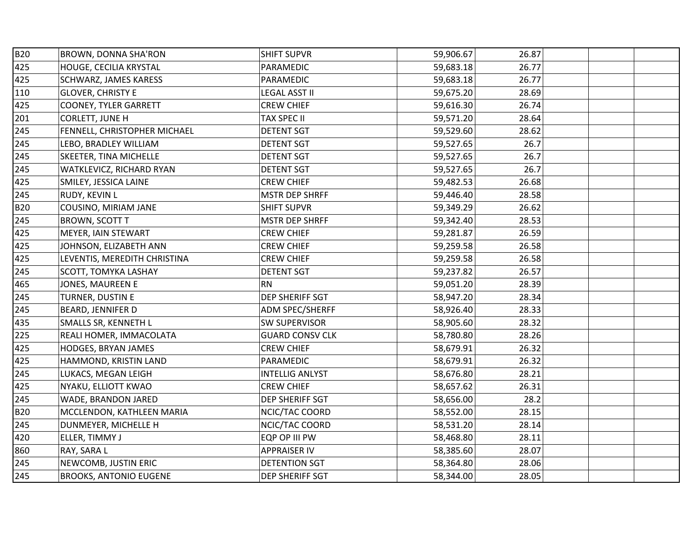| <b>B20</b> | BROWN, DONNA SHA'RON          | <b>SHIFT SUPVR</b>     | 59,906.67 | 26.87 |  |  |
|------------|-------------------------------|------------------------|-----------|-------|--|--|
| 425        | HOUGE, CECILIA KRYSTAL        | PARAMEDIC              | 59,683.18 | 26.77 |  |  |
| 425        | <b>SCHWARZ, JAMES KARESS</b>  | PARAMEDIC              | 59,683.18 | 26.77 |  |  |
| 110        | <b>GLOVER, CHRISTY E</b>      | <b>LEGAL ASST II</b>   | 59,675.20 | 28.69 |  |  |
| 425        | <b>COONEY, TYLER GARRETT</b>  | <b>CREW CHIEF</b>      | 59,616.30 | 26.74 |  |  |
| 201        | CORLETT, JUNE H               | <b>TAX SPEC II</b>     | 59,571.20 | 28.64 |  |  |
| 245        | FENNELL, CHRISTOPHER MICHAEL  | <b>DETENT SGT</b>      | 59,529.60 | 28.62 |  |  |
| 245        | LEBO, BRADLEY WILLIAM         | <b>DETENT SGT</b>      | 59,527.65 | 26.7  |  |  |
| 245        | SKEETER, TINA MICHELLE        | <b>DETENT SGT</b>      | 59,527.65 | 26.7  |  |  |
| 245        | WATKLEVICZ, RICHARD RYAN      | <b>DETENT SGT</b>      | 59,527.65 | 26.7  |  |  |
| 425        | SMILEY, JESSICA LAINE         | <b>CREW CHIEF</b>      | 59,482.53 | 26.68 |  |  |
| 245        | RUDY, KEVIN L                 | <b>MSTR DEP SHRFF</b>  | 59,446.40 | 28.58 |  |  |
| <b>B20</b> | COUSINO, MIRIAM JANE          | <b>SHIFT SUPVR</b>     | 59,349.29 | 26.62 |  |  |
| 245        | <b>BROWN, SCOTT T</b>         | <b>MSTR DEP SHRFF</b>  | 59,342.40 | 28.53 |  |  |
| 425        | MEYER, IAIN STEWART           | <b>CREW CHIEF</b>      | 59,281.87 | 26.59 |  |  |
| 425        | JOHNSON, ELIZABETH ANN        | <b>CREW CHIEF</b>      | 59,259.58 | 26.58 |  |  |
| 425        | LEVENTIS, MEREDITH CHRISTINA  | <b>CREW CHIEF</b>      | 59,259.58 | 26.58 |  |  |
| 245        | SCOTT, TOMYKA LASHAY          | <b>DETENT SGT</b>      | 59,237.82 | 26.57 |  |  |
| 465        | JONES, MAUREEN E              | <b>RN</b>              | 59,051.20 | 28.39 |  |  |
| 245        | TURNER, DUSTIN E              | DEP SHERIFF SGT        | 58,947.20 | 28.34 |  |  |
| 245        | BEARD, JENNIFER D             | ADM SPEC/SHERFF        | 58,926.40 | 28.33 |  |  |
| 435        | SMALLS SR, KENNETH L          | <b>SW SUPERVISOR</b>   | 58,905.60 | 28.32 |  |  |
| 225        | REALI HOMER, IMMACOLATA       | <b>GUARD CONSV CLK</b> | 58,780.80 | 28.26 |  |  |
| 425        | HODGES, BRYAN JAMES           | <b>CREW CHIEF</b>      | 58,679.91 | 26.32 |  |  |
| 425        | HAMMOND, KRISTIN LAND         | PARAMEDIC              | 58,679.91 | 26.32 |  |  |
| 245        | LUKACS, MEGAN LEIGH           | <b>INTELLIG ANLYST</b> | 58,676.80 | 28.21 |  |  |
| 425        | NYAKU, ELLIOTT KWAO           | <b>CREW CHIEF</b>      | 58,657.62 | 26.31 |  |  |
| 245        | WADE, BRANDON JARED           | DEP SHERIFF SGT        | 58,656.00 | 28.2  |  |  |
| <b>B20</b> | MCCLENDON, KATHLEEN MARIA     | NCIC/TAC COORD         | 58,552.00 | 28.15 |  |  |
| 245        | DUNMEYER, MICHELLE H          | NCIC/TAC COORD         | 58,531.20 | 28.14 |  |  |
| 420        | ELLER, TIMMY J                | EQP OP III PW          | 58,468.80 | 28.11 |  |  |
| 860        | RAY, SARA L                   | <b>APPRAISER IV</b>    | 58,385.60 | 28.07 |  |  |
| 245        | NEWCOMB, JUSTIN ERIC          | DETENTION SGT          | 58,364.80 | 28.06 |  |  |
| 245        | <b>BROOKS, ANTONIO EUGENE</b> | DEP SHERIFF SGT        | 58,344.00 | 28.05 |  |  |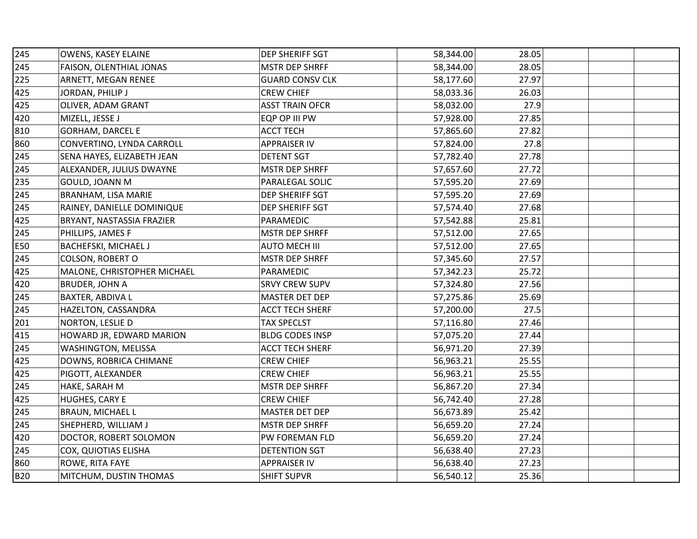| 245        | OWENS, KASEY ELAINE         | DEP SHERIFF SGT        | 58,344.00 | 28.05 |  |
|------------|-----------------------------|------------------------|-----------|-------|--|
| 245        | FAISON, OLENTHIAL JONAS     | <b>MSTR DEP SHRFF</b>  | 58,344.00 | 28.05 |  |
| 225        | ARNETT, MEGAN RENEE         | <b>GUARD CONSV CLK</b> | 58,177.60 | 27.97 |  |
| 425        | JORDAN, PHILIP J            | <b>CREW CHIEF</b>      | 58,033.36 | 26.03 |  |
| 425        | OLIVER, ADAM GRANT          | <b>ASST TRAIN OFCR</b> | 58,032.00 | 27.9  |  |
| 420        | MIZELL, JESSE J             | EQP OP III PW          | 57,928.00 | 27.85 |  |
| 810        | <b>GORHAM, DARCEL E</b>     | <b>ACCT TECH</b>       | 57,865.60 | 27.82 |  |
| 860        | CONVERTINO, LYNDA CARROLL   | <b>APPRAISER IV</b>    | 57,824.00 | 27.8  |  |
| 245        | SENA HAYES, ELIZABETH JEAN  | <b>DETENT SGT</b>      | 57,782.40 | 27.78 |  |
| 245        | ALEXANDER, JULIUS DWAYNE    | <b>MSTR DEP SHRFF</b>  | 57,657.60 | 27.72 |  |
| 235        | GOULD, JOANN M              | PARALEGAL SOLIC        | 57,595.20 | 27.69 |  |
| 245        | BRANHAM, LISA MARIE         | DEP SHERIFF SGT        | 57,595.20 | 27.69 |  |
| 245        | RAINEY, DANIELLE DOMINIQUE  | DEP SHERIFF SGT        | 57,574.40 | 27.68 |  |
| 425        | BRYANT, NASTASSIA FRAZIER   | PARAMEDIC              | 57,542.88 | 25.81 |  |
| 245        | PHILLIPS, JAMES F           | <b>MSTR DEP SHRFF</b>  | 57,512.00 | 27.65 |  |
| E50        | BACHEFSKI, MICHAEL J        | <b>AUTO MECH III</b>   | 57,512.00 | 27.65 |  |
| 245        | <b>COLSON, ROBERT O</b>     | <b>MSTR DEP SHRFF</b>  | 57,345.60 | 27.57 |  |
| 425        | MALONE, CHRISTOPHER MICHAEL | PARAMEDIC              | 57,342.23 | 25.72 |  |
| 420        | <b>BRUDER, JOHN A</b>       | <b>SRVY CREW SUPV</b>  | 57,324.80 | 27.56 |  |
| 245        | BAXTER, ABDIVA L            | MASTER DET DEP         | 57,275.86 | 25.69 |  |
| 245        | HAZELTON, CASSANDRA         | <b>ACCT TECH SHERF</b> | 57,200.00 | 27.5  |  |
| 201        | NORTON, LESLIE D            | <b>TAX SPECLST</b>     | 57,116.80 | 27.46 |  |
| 415        | HOWARD JR, EDWARD MARION    | <b>BLDG CODES INSP</b> | 57,075.20 | 27.44 |  |
| 245        | WASHINGTON, MELISSA         | <b>ACCT TECH SHERF</b> | 56,971.20 | 27.39 |  |
| 425        | DOWNS, ROBRICA CHIMANE      | <b>CREW CHIEF</b>      | 56,963.21 | 25.55 |  |
| 425        | PIGOTT, ALEXANDER           | <b>CREW CHIEF</b>      | 56,963.21 | 25.55 |  |
| 245        | HAKE, SARAH M               | <b>MSTR DEP SHRFF</b>  | 56,867.20 | 27.34 |  |
| 425        | HUGHES, CARY E              | <b>CREW CHIEF</b>      | 56,742.40 | 27.28 |  |
| 245        | <b>BRAUN, MICHAEL L</b>     | MASTER DET DEP         | 56,673.89 | 25.42 |  |
| 245        | SHEPHERD, WILLIAM J         | <b>MSTR DEP SHRFF</b>  | 56,659.20 | 27.24 |  |
| 420        | DOCTOR, ROBERT SOLOMON      | PW FOREMAN FLD         | 56,659.20 | 27.24 |  |
| 245        | COX, QUIOTIAS ELISHA        | <b>DETENTION SGT</b>   | 56,638.40 | 27.23 |  |
| 860        | ROWE, RITA FAYE             | <b>APPRAISER IV</b>    | 56,638.40 | 27.23 |  |
| <b>B20</b> | MITCHUM, DUSTIN THOMAS      | <b>SHIFT SUPVR</b>     | 56,540.12 | 25.36 |  |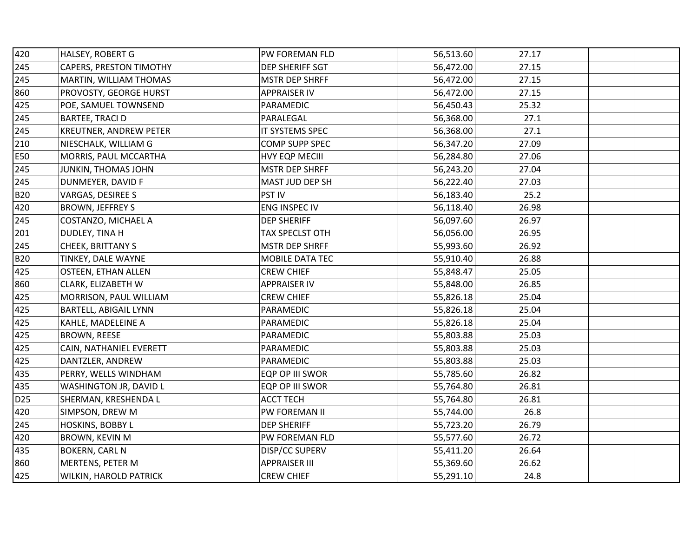| 420             | <b>HALSEY, ROBERT G</b>        | PW FOREMAN FLD        | 56,513.60 | 27.17 |  |
|-----------------|--------------------------------|-----------------------|-----------|-------|--|
| 245             | <b>CAPERS, PRESTON TIMOTHY</b> | DEP SHERIFF SGT       | 56,472.00 | 27.15 |  |
| 245             | MARTIN, WILLIAM THOMAS         | <b>MSTR DEP SHRFF</b> | 56,472.00 | 27.15 |  |
| 860             | PROVOSTY, GEORGE HURST         | <b>APPRAISER IV</b>   | 56,472.00 | 27.15 |  |
| 425             | POE, SAMUEL TOWNSEND           | PARAMEDIC             | 56,450.43 | 25.32 |  |
| 245             | <b>BARTEE, TRACI D</b>         | PARALEGAL             | 56,368.00 | 27.1  |  |
| 245             | KREUTNER, ANDREW PETER         | IT SYSTEMS SPEC       | 56,368.00 | 27.1  |  |
| 210             | NIESCHALK, WILLIAM G           | COMP SUPP SPEC        | 56,347.20 | 27.09 |  |
| E50             | MORRIS, PAUL MCCARTHA          | HVY EQP MECIII        | 56,284.80 | 27.06 |  |
| 245             | JUNKIN, THOMAS JOHN            | <b>MSTR DEP SHRFF</b> | 56,243.20 | 27.04 |  |
| 245             | DUNMEYER, DAVID F              | MAST JUD DEP SH       | 56,222.40 | 27.03 |  |
| <b>B20</b>      | VARGAS, DESIREE S              | PST IV                | 56,183.40 | 25.2  |  |
| 420             | <b>BROWN, JEFFREY S</b>        | ENG INSPEC IV         | 56,118.40 | 26.98 |  |
| 245             | <b>COSTANZO, MICHAEL A</b>     | <b>DEP SHERIFF</b>    | 56,097.60 | 26.97 |  |
| 201             | DUDLEY, TINA H                 | TAX SPECLST OTH       | 56,056.00 | 26.95 |  |
| 245             | CHEEK, BRITTANY S              | <b>MSTR DEP SHRFF</b> | 55,993.60 | 26.92 |  |
| <b>B20</b>      | TINKEY, DALE WAYNE             | MOBILE DATA TEC       | 55,910.40 | 26.88 |  |
| 425             | <b>OSTEEN, ETHAN ALLEN</b>     | <b>CREW CHIEF</b>     | 55,848.47 | 25.05 |  |
| 860             | <b>CLARK, ELIZABETH W</b>      | <b>APPRAISER IV</b>   | 55,848.00 | 26.85 |  |
| 425             | MORRISON, PAUL WILLIAM         | <b>CREW CHIEF</b>     | 55,826.18 | 25.04 |  |
| 425             | <b>BARTELL, ABIGAIL LYNN</b>   | PARAMEDIC             | 55,826.18 | 25.04 |  |
| 425             | KAHLE, MADELEINE A             | PARAMEDIC             | 55,826.18 | 25.04 |  |
| 425             | <b>BROWN, REESE</b>            | PARAMEDIC             | 55,803.88 | 25.03 |  |
| 425             | CAIN, NATHANIEL EVERETT        | PARAMEDIC             | 55,803.88 | 25.03 |  |
| 425             | DANTZLER, ANDREW               | PARAMEDIC             | 55,803.88 | 25.03 |  |
| 435             | PERRY, WELLS WINDHAM           | EQP OP III SWOR       | 55,785.60 | 26.82 |  |
| 435             | WASHINGTON JR, DAVID L         | EQP OP III SWOR       | 55,764.80 | 26.81 |  |
| D <sub>25</sub> | SHERMAN, KRESHENDA L           | <b>ACCT TECH</b>      | 55,764.80 | 26.81 |  |
| 420             | SIMPSON, DREW M                | PW FOREMAN II         | 55,744.00 | 26.8  |  |
| 245             | HOSKINS, BOBBY L               | <b>DEP SHERIFF</b>    | 55,723.20 | 26.79 |  |
| 420             | BROWN, KEVIN M                 | PW FOREMAN FLD        | 55,577.60 | 26.72 |  |
| 435             | <b>BOKERN, CARL N</b>          | DISP/CC SUPERV        | 55,411.20 | 26.64 |  |
| 860             | MERTENS, PETER M               | <b>APPRAISER III</b>  | 55,369.60 | 26.62 |  |
| 425             | WILKIN, HAROLD PATRICK         | <b>CREW CHIEF</b>     | 55,291.10 | 24.8  |  |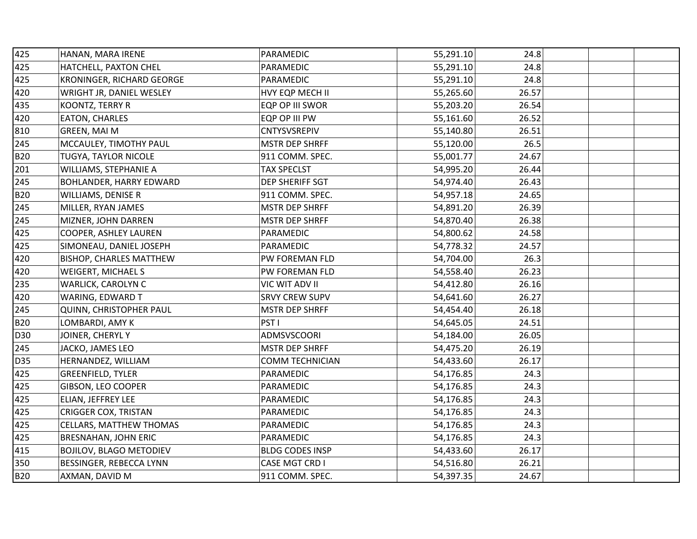| 425        | HANAN, MARA IRENE              | PARAMEDIC              | 55,291.10 | 24.8  |  |
|------------|--------------------------------|------------------------|-----------|-------|--|
| 425        | HATCHELL, PAXTON CHEL          | <b>PARAMEDIC</b>       | 55,291.10 | 24.8  |  |
| 425        | KRONINGER, RICHARD GEORGE      | PARAMEDIC              | 55,291.10 | 24.8  |  |
| 420        | WRIGHT JR, DANIEL WESLEY       | HVY EQP MECH II        | 55,265.60 | 26.57 |  |
| 435        | KOONTZ, TERRY R                | EQP OP III SWOR        | 55,203.20 | 26.54 |  |
| 420        | EATON, CHARLES                 | EQP OP III PW          | 55,161.60 | 26.52 |  |
| 810        | GREEN, MAI M                   | <b>CNTYSVSREPIV</b>    | 55,140.80 | 26.51 |  |
| 245        | MCCAULEY, TIMOTHY PAUL         | <b>MSTR DEP SHRFF</b>  | 55,120.00 | 26.5  |  |
| <b>B20</b> | TUGYA, TAYLOR NICOLE           | 911 COMM. SPEC.        | 55,001.77 | 24.67 |  |
| 201        | WILLIAMS, STEPHANIE A          | <b>TAX SPECLST</b>     | 54,995.20 | 26.44 |  |
| 245        | BOHLANDER, HARRY EDWARD        | DEP SHERIFF SGT        | 54,974.40 | 26.43 |  |
| <b>B20</b> | WILLIAMS, DENISE R             | 911 COMM. SPEC.        | 54,957.18 | 24.65 |  |
| 245        | MILLER, RYAN JAMES             | <b>MSTR DEP SHRFF</b>  | 54,891.20 | 26.39 |  |
| 245        | MIZNER, JOHN DARREN            | <b>MSTR DEP SHRFF</b>  | 54,870.40 | 26.38 |  |
| 425        | COOPER, ASHLEY LAUREN          | PARAMEDIC              | 54,800.62 | 24.58 |  |
| 425        | SIMONEAU, DANIEL JOSEPH        | PARAMEDIC              | 54,778.32 | 24.57 |  |
| 420        | BISHOP, CHARLES MATTHEW        | PW FOREMAN FLD         | 54,704.00 | 26.3  |  |
| 420        | <b>WEIGERT, MICHAEL S</b>      | PW FOREMAN FLD         | 54,558.40 | 26.23 |  |
| 235        | WARLICK, CAROLYN C             | VIC WIT ADV II         | 54,412.80 | 26.16 |  |
| 420        | WARING, EDWARD T               | <b>SRVY CREW SUPV</b>  | 54,641.60 | 26.27 |  |
| 245        | QUINN, CHRISTOPHER PAUL        | <b>MSTR DEP SHRFF</b>  | 54,454.40 | 26.18 |  |
| <b>B20</b> | LOMBARDI, AMY K                | PST <sub>I</sub>       | 54,645.05 | 24.51 |  |
| D30        | JOINER, CHERYLY                | <b>ADMSVSCOORI</b>     | 54,184.00 | 26.05 |  |
| 245        | JACKO, JAMES LEO               | <b>MSTR DEP SHRFF</b>  | 54,475.20 | 26.19 |  |
| <b>D35</b> | HERNANDEZ, WILLIAM             | <b>COMM TECHNICIAN</b> | 54,433.60 | 26.17 |  |
| 425        | <b>GREENFIELD, TYLER</b>       | PARAMEDIC              | 54,176.85 | 24.3  |  |
| 425        | GIBSON, LEO COOPER             | PARAMEDIC              | 54,176.85 | 24.3  |  |
| 425        | ELIAN, JEFFREY LEE             | PARAMEDIC              | 54,176.85 | 24.3  |  |
| 425        | <b>CRIGGER COX, TRISTAN</b>    | PARAMEDIC              | 54,176.85 | 24.3  |  |
| 425        | <b>CELLARS, MATTHEW THOMAS</b> | PARAMEDIC              | 54,176.85 | 24.3  |  |
| 425        | <b>BRESNAHAN, JOHN ERIC</b>    | PARAMEDIC              | 54,176.85 | 24.3  |  |
| 415        | <b>BOJILOV, BLAGO METODIEV</b> | <b>BLDG CODES INSP</b> | 54,433.60 | 26.17 |  |
| 350        | BESSINGER, REBECCA LYNN        | CASE MGT CRD I         | 54,516.80 | 26.21 |  |
| <b>B20</b> | AXMAN, DAVID M                 | 911 COMM. SPEC.        | 54,397.35 | 24.67 |  |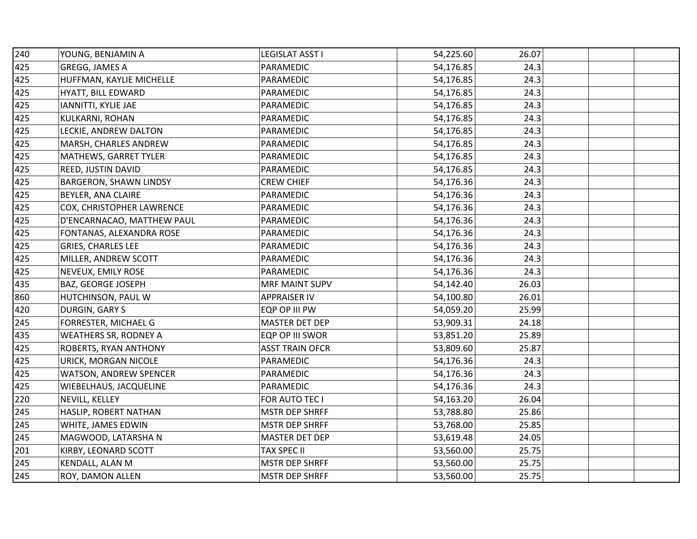| 240 | YOUNG, BENJAMIN A             | LEGISLAT ASST I        | 54,225.60 | 26.07 |  |
|-----|-------------------------------|------------------------|-----------|-------|--|
| 425 | GREGG, JAMES A                | PARAMEDIC              | 54,176.85 | 24.3  |  |
| 425 | HUFFMAN, KAYLIE MICHELLE      | <b>PARAMEDIC</b>       | 54,176.85 | 24.3  |  |
| 425 | HYATT, BILL EDWARD            | PARAMEDIC              | 54,176.85 | 24.3  |  |
| 425 | IANNITTI, KYLIE JAE           | PARAMEDIC              | 54,176.85 | 24.3  |  |
| 425 | KULKARNI, ROHAN               | PARAMEDIC              | 54,176.85 | 24.3  |  |
| 425 | LECKIE, ANDREW DALTON         | PARAMEDIC              | 54,176.85 | 24.3  |  |
| 425 | MARSH, CHARLES ANDREW         | PARAMEDIC              | 54,176.85 | 24.3  |  |
| 425 | MATHEWS, GARRET TYLER         | PARAMEDIC              | 54,176.85 | 24.3  |  |
| 425 | REED, JUSTIN DAVID            | PARAMEDIC              | 54,176.85 | 24.3  |  |
| 425 | <b>BARGERON, SHAWN LINDSY</b> | <b>CREW CHIEF</b>      | 54,176.36 | 24.3  |  |
| 425 | BEYLER, ANA CLAIRE            | PARAMEDIC              | 54,176.36 | 24.3  |  |
| 425 | COX, CHRISTOPHER LAWRENCE     | PARAMEDIC              | 54,176.36 | 24.3  |  |
| 425 | D'ENCARNACAO, MATTHEW PAUL    | PARAMEDIC              | 54,176.36 | 24.3  |  |
| 425 | FONTANAS, ALEXANDRA ROSE      | PARAMEDIC              | 54,176.36 | 24.3  |  |
| 425 | <b>GRIES, CHARLES LEE</b>     | PARAMEDIC              | 54,176.36 | 24.3  |  |
| 425 | MILLER, ANDREW SCOTT          | PARAMEDIC              | 54,176.36 | 24.3  |  |
| 425 | NEVEUX, EMILY ROSE            | <b>PARAMEDIC</b>       | 54,176.36 | 24.3  |  |
| 435 | BAZ, GEORGE JOSEPH            | <b>MRF MAINT SUPV</b>  | 54,142.40 | 26.03 |  |
| 860 | HUTCHINSON, PAUL W            | <b>APPRAISER IV</b>    | 54,100.80 | 26.01 |  |
| 420 | DURGIN, GARY S                | EQP OP III PW          | 54,059.20 | 25.99 |  |
| 245 | FORRESTER, MICHAEL G          | MASTER DET DEP         | 53,909.31 | 24.18 |  |
| 435 | <b>WEATHERS SR, RODNEY A</b>  | EQP OP III SWOR        | 53,851.20 | 25.89 |  |
| 425 | ROBERTS, RYAN ANTHONY         | <b>ASST TRAIN OFCR</b> | 53,809.60 | 25.87 |  |
| 425 | URICK, MORGAN NICOLE          | PARAMEDIC              | 54,176.36 | 24.3  |  |
| 425 | WATSON, ANDREW SPENCER        | PARAMEDIC              | 54,176.36 | 24.3  |  |
| 425 | WIEBELHAUS, JACQUELINE        | PARAMEDIC              | 54,176.36 | 24.3  |  |
| 220 | NEVILL, KELLEY                | FOR AUTO TEC I         | 54,163.20 | 26.04 |  |
| 245 | HASLIP, ROBERT NATHAN         | <b>MSTR DEP SHRFF</b>  | 53,788.80 | 25.86 |  |
| 245 | WHITE, JAMES EDWIN            | <b>MSTR DEP SHRFF</b>  | 53,768.00 | 25.85 |  |
| 245 | MAGWOOD, LATARSHA N           | MASTER DET DEP         | 53,619.48 | 24.05 |  |
| 201 | KIRBY, LEONARD SCOTT          | <b>TAX SPEC II</b>     | 53,560.00 | 25.75 |  |
| 245 | KENDALL, ALAN M               | <b>MSTR DEP SHRFF</b>  | 53,560.00 | 25.75 |  |
| 245 | ROY, DAMON ALLEN              | <b>MSTR DEP SHRFF</b>  | 53,560.00 | 25.75 |  |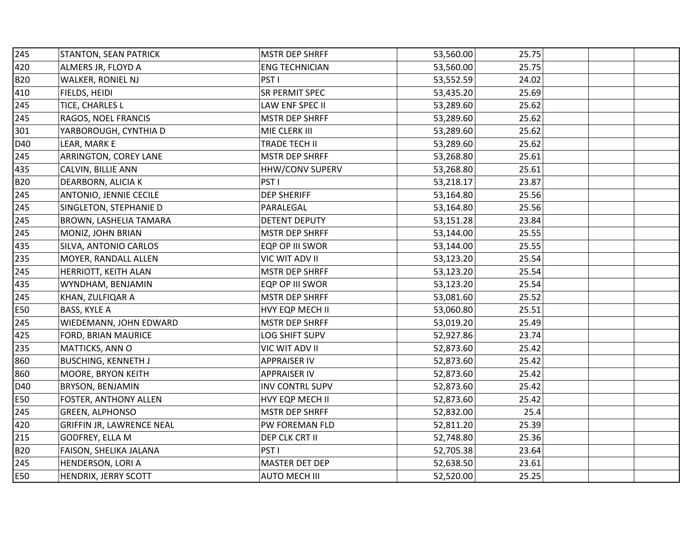| 245        | <b>STANTON, SEAN PATRICK</b>     | <b>MSTR DEP SHRFF</b>  | 53,560.00 | 25.75 |  |
|------------|----------------------------------|------------------------|-----------|-------|--|
| 420        | ALMERS JR, FLOYD A               | <b>ENG TECHNICIAN</b>  | 53,560.00 | 25.75 |  |
| <b>B20</b> | WALKER, RONIEL NJ                | PST <sub>1</sub>       | 53,552.59 | 24.02 |  |
| 410        | FIELDS, HEIDI                    | SR PERMIT SPEC         | 53,435.20 | 25.69 |  |
| 245        | TICE, CHARLES L                  | LAW ENF SPEC II        | 53,289.60 | 25.62 |  |
| 245        | RAGOS, NOEL FRANCIS              | <b>MSTR DEP SHRFF</b>  | 53,289.60 | 25.62 |  |
| 301        | YARBOROUGH, CYNTHIA D            | MIE CLERK III          | 53,289.60 | 25.62 |  |
| D40        | LEAR, MARK E                     | <b>TRADE TECH II</b>   | 53,289.60 | 25.62 |  |
| 245        | ARRINGTON, COREY LANE            | MSTR DEP SHRFF         | 53,268.80 | 25.61 |  |
| 435        | CALVIN, BILLIE ANN               | HHW/CONV SUPERV        | 53,268.80 | 25.61 |  |
| <b>B20</b> | DEARBORN, ALICIA K               | PST <sub>I</sub>       | 53,218.17 | 23.87 |  |
| 245        | ANTONIO, JENNIE CECILE           | <b>DEP SHERIFF</b>     | 53,164.80 | 25.56 |  |
| 245        | SINGLETON, STEPHANIE D           | PARALEGAL              | 53,164.80 | 25.56 |  |
| 245        | BROWN, LASHELIA TAMARA           | <b>DETENT DEPUTY</b>   | 53,151.28 | 23.84 |  |
| 245        | MONIZ, JOHN BRIAN                | <b>MSTR DEP SHRFF</b>  | 53,144.00 | 25.55 |  |
| 435        | SILVA, ANTONIO CARLOS            | EQP OP III SWOR        | 53,144.00 | 25.55 |  |
| 235        | MOYER, RANDALL ALLEN             | VIC WIT ADV II         | 53,123.20 | 25.54 |  |
| 245        | HERRIOTT, KEITH ALAN             | <b>MSTR DEP SHRFF</b>  | 53,123.20 | 25.54 |  |
| 435        | WYNDHAM, BENJAMIN                | EQP OP III SWOR        | 53,123.20 | 25.54 |  |
| 245        | KHAN, ZULFIQAR A                 | <b>MSTR DEP SHRFF</b>  | 53,081.60 | 25.52 |  |
| E50        | BASS, KYLE A                     | HVY EQP MECH II        | 53,060.80 | 25.51 |  |
| 245        | WIEDEMANN, JOHN EDWARD           | <b>MSTR DEP SHRFF</b>  | 53,019.20 | 25.49 |  |
| 425        | FORD, BRIAN MAURICE              | LOG SHIFT SUPV         | 52,927.86 | 23.74 |  |
| 235        | MATTICKS, ANN O                  | VIC WIT ADV II         | 52,873.60 | 25.42 |  |
| 860        | <b>BUSCHING, KENNETH J</b>       | <b>APPRAISER IV</b>    | 52,873.60 | 25.42 |  |
| 860        | MOORE, BRYON KEITH               | <b>APPRAISER IV</b>    | 52,873.60 | 25.42 |  |
| D40        | BRYSON, BENJAMIN                 | <b>INV CONTRL SUPV</b> | 52,873.60 | 25.42 |  |
| E50        | FOSTER, ANTHONY ALLEN            | HVY EQP MECH II        | 52,873.60 | 25.42 |  |
| 245        | <b>GREEN, ALPHONSO</b>           | MSTR DEP SHRFF         | 52,832.00 | 25.4  |  |
| 420        | <b>GRIFFIN JR, LAWRENCE NEAL</b> | PW FOREMAN FLD         | 52,811.20 | 25.39 |  |
| 215        | GODFREY, ELLA M                  | DEP CLK CRT II         | 52,748.80 | 25.36 |  |
| <b>B20</b> | FAISON, SHELIKA JALANA           | PST <sub>1</sub>       | 52,705.38 | 23.64 |  |
| 245        | HENDERSON, LORI A                | MASTER DET DEP         | 52,638.50 | 23.61 |  |
| E50        | HENDRIX, JERRY SCOTT             | <b>AUTO MECH III</b>   | 52,520.00 | 25.25 |  |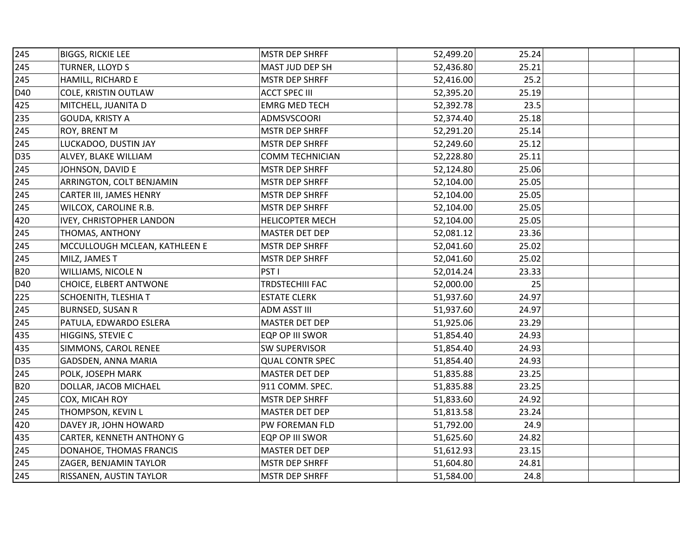| 245        | <b>BIGGS, RICKIE LEE</b>        | <b>MSTR DEP SHRFF</b>  | 52,499.20 | 25.24 |  |
|------------|---------------------------------|------------------------|-----------|-------|--|
| 245        | TURNER, LLOYD S                 | MAST JUD DEP SH        | 52,436.80 | 25.21 |  |
| 245        | HAMILL, RICHARD E               | <b>MSTR DEP SHRFF</b>  | 52,416.00 | 25.2  |  |
| D40        | COLE, KRISTIN OUTLAW            | <b>ACCT SPEC III</b>   | 52,395.20 | 25.19 |  |
| 425        | MITCHELL, JUANITA D             | <b>EMRG MED TECH</b>   | 52,392.78 | 23.5  |  |
| 235        | GOUDA, KRISTY A                 | ADMSVSCOORI            | 52,374.40 | 25.18 |  |
| 245        | ROY, BRENT M                    | <b>MSTR DEP SHRFF</b>  | 52,291.20 | 25.14 |  |
| 245        | LUCKADOO, DUSTIN JAY            | <b>MSTR DEP SHRFF</b>  | 52,249.60 | 25.12 |  |
| <b>D35</b> | ALVEY, BLAKE WILLIAM            | <b>COMM TECHNICIAN</b> | 52,228.80 | 25.11 |  |
| 245        | JOHNSON, DAVID E                | <b>MSTR DEP SHRFF</b>  | 52,124.80 | 25.06 |  |
| 245        | ARRINGTON, COLT BENJAMIN        | <b>MSTR DEP SHRFF</b>  | 52,104.00 | 25.05 |  |
| 245        | CARTER III, JAMES HENRY         | <b>MSTR DEP SHRFF</b>  | 52,104.00 | 25.05 |  |
| 245        | WILCOX, CAROLINE R.B.           | <b>MSTR DEP SHRFF</b>  | 52,104.00 | 25.05 |  |
| 420        | <b>IVEY, CHRISTOPHER LANDON</b> | <b>HELICOPTER MECH</b> | 52,104.00 | 25.05 |  |
| 245        | THOMAS, ANTHONY                 | MASTER DET DEP         | 52,081.12 | 23.36 |  |
| 245        | MCCULLOUGH MCLEAN, KATHLEEN E   | <b>MSTR DEP SHRFF</b>  | 52,041.60 | 25.02 |  |
| 245        | MILZ, JAMES T                   | <b>MSTR DEP SHRFF</b>  | 52,041.60 | 25.02 |  |
| <b>B20</b> | WILLIAMS, NICOLE N              | PST <sub>I</sub>       | 52,014.24 | 23.33 |  |
| D40        | CHOICE, ELBERT ANTWONE          | TRDSTECHIII FAC        | 52,000.00 | 25    |  |
| 225        | SCHOENITH, TLESHIA T            | <b>ESTATE CLERK</b>    | 51,937.60 | 24.97 |  |
| 245        | <b>BURNSED, SUSAN R</b>         | <b>ADM ASST III</b>    | 51,937.60 | 24.97 |  |
| 245        | PATULA, EDWARDO ESLERA          | MASTER DET DEP         | 51,925.06 | 23.29 |  |
| 435        | HIGGINS, STEVIE C               | EQP OP III SWOR        | 51,854.40 | 24.93 |  |
| 435        | SIMMONS, CAROL RENEE            | <b>SW SUPERVISOR</b>   | 51,854.40 | 24.93 |  |
| <b>D35</b> | GADSDEN, ANNA MARIA             | <b>QUAL CONTR SPEC</b> | 51,854.40 | 24.93 |  |
| 245        | POLK, JOSEPH MARK               | MASTER DET DEP         | 51,835.88 | 23.25 |  |
| <b>B20</b> | DOLLAR, JACOB MICHAEL           | 911 COMM. SPEC.        | 51,835.88 | 23.25 |  |
| 245        | COX, MICAH ROY                  | <b>MSTR DEP SHRFF</b>  | 51,833.60 | 24.92 |  |
| 245        | THOMPSON, KEVIN L               | MASTER DET DEP         | 51,813.58 | 23.24 |  |
| 420        | DAVEY JR, JOHN HOWARD           | PW FOREMAN FLD         | 51,792.00 | 24.9  |  |
| 435        | CARTER, KENNETH ANTHONY G       | EQP OP III SWOR        | 51,625.60 | 24.82 |  |
| 245        | DONAHOE, THOMAS FRANCIS         | MASTER DET DEP         | 51,612.93 | 23.15 |  |
| 245        | ZAGER, BENJAMIN TAYLOR          | <b>MSTR DEP SHRFF</b>  | 51,604.80 | 24.81 |  |
| 245        | RISSANEN, AUSTIN TAYLOR         | <b>MSTR DEP SHRFF</b>  | 51,584.00 | 24.8  |  |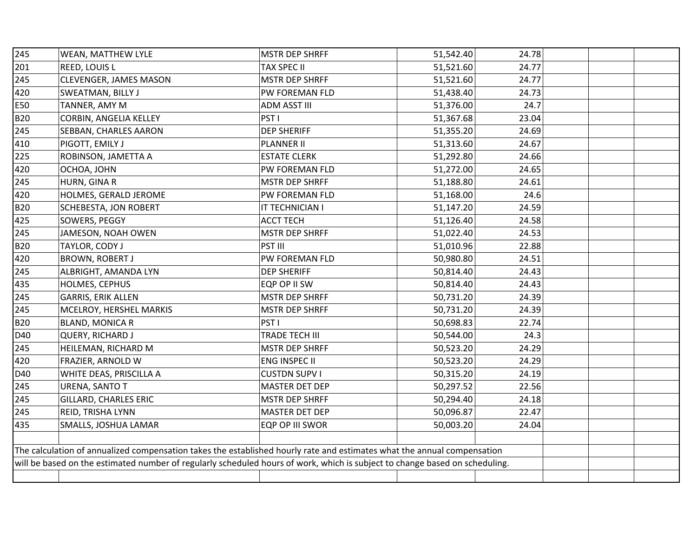| 245                                                                                                                     | WEAN, MATTHEW LYLE                                                                                                          | <b>MSTR DEP SHRFF</b> | 51,542.40 | 24.78 |  |  |
|-------------------------------------------------------------------------------------------------------------------------|-----------------------------------------------------------------------------------------------------------------------------|-----------------------|-----------|-------|--|--|
| 201                                                                                                                     | REED, LOUIS L                                                                                                               | <b>TAX SPEC II</b>    | 51,521.60 | 24.77 |  |  |
| 245                                                                                                                     | CLEVENGER, JAMES MASON                                                                                                      | <b>MSTR DEP SHRFF</b> | 51,521.60 | 24.77 |  |  |
| 420                                                                                                                     | SWEATMAN, BILLY J                                                                                                           | PW FOREMAN FLD        | 51,438.40 | 24.73 |  |  |
| E50                                                                                                                     | TANNER, AMY M                                                                                                               | <b>ADM ASST III</b>   | 51,376.00 | 24.7  |  |  |
| <b>B20</b>                                                                                                              | CORBIN, ANGELIA KELLEY                                                                                                      | PST <sub>I</sub>      | 51,367.68 | 23.04 |  |  |
| 245                                                                                                                     | SEBBAN, CHARLES AARON                                                                                                       | <b>DEP SHERIFF</b>    | 51,355.20 | 24.69 |  |  |
| 410                                                                                                                     | PIGOTT, EMILY J                                                                                                             | <b>PLANNER II</b>     | 51,313.60 | 24.67 |  |  |
| 225                                                                                                                     | ROBINSON, JAMETTA A                                                                                                         | <b>ESTATE CLERK</b>   | 51,292.80 | 24.66 |  |  |
| 420                                                                                                                     | OCHOA, JOHN                                                                                                                 | PW FOREMAN FLD        | 51,272.00 | 24.65 |  |  |
| 245                                                                                                                     | HURN, GINA R                                                                                                                | <b>MSTR DEP SHRFF</b> | 51,188.80 | 24.61 |  |  |
| 420                                                                                                                     | HOLMES, GERALD JEROME                                                                                                       | PW FOREMAN FLD        | 51,168.00 | 24.6  |  |  |
| <b>B20</b>                                                                                                              | SCHEBESTA, JON ROBERT                                                                                                       | IT TECHNICIAN I       | 51,147.20 | 24.59 |  |  |
| 425                                                                                                                     | SOWERS, PEGGY                                                                                                               | <b>ACCT TECH</b>      | 51,126.40 | 24.58 |  |  |
| 245                                                                                                                     | JAMESON, NOAH OWEN                                                                                                          | <b>MSTR DEP SHRFF</b> | 51,022.40 | 24.53 |  |  |
| <b>B20</b>                                                                                                              | TAYLOR, CODY J                                                                                                              | PST III               | 51,010.96 | 22.88 |  |  |
| 420                                                                                                                     | <b>BROWN, ROBERT J</b>                                                                                                      | PW FOREMAN FLD        | 50,980.80 | 24.51 |  |  |
| 245                                                                                                                     | ALBRIGHT, AMANDA LYN                                                                                                        | <b>DEP SHERIFF</b>    | 50,814.40 | 24.43 |  |  |
| 435                                                                                                                     | HOLMES, CEPHUS                                                                                                              | EQP OP II SW          | 50,814.40 | 24.43 |  |  |
| 245                                                                                                                     | GARRIS, ERIK ALLEN                                                                                                          | MSTR DEP SHRFF        | 50,731.20 | 24.39 |  |  |
| 245                                                                                                                     | MCELROY, HERSHEL MARKIS                                                                                                     | <b>MSTR DEP SHRFF</b> | 50,731.20 | 24.39 |  |  |
| <b>B20</b>                                                                                                              | BLAND, MONICA R                                                                                                             | PST <sub>I</sub>      | 50,698.83 | 22.74 |  |  |
| D40                                                                                                                     | QUERY, RICHARD J                                                                                                            | <b>TRADE TECH III</b> | 50,544.00 | 24.3  |  |  |
| 245                                                                                                                     | HEILEMAN, RICHARD M                                                                                                         | <b>MSTR DEP SHRFF</b> | 50,523.20 | 24.29 |  |  |
| 420                                                                                                                     | FRAZIER, ARNOLD W                                                                                                           | ENG INSPEC II         | 50,523.20 | 24.29 |  |  |
| D40                                                                                                                     | WHITE DEAS, PRISCILLA A                                                                                                     | <b>CUSTDN SUPV I</b>  | 50,315.20 | 24.19 |  |  |
| 245                                                                                                                     | URENA, SANTO T                                                                                                              | MASTER DET DEP        | 50,297.52 | 22.56 |  |  |
| 245                                                                                                                     | GILLARD, CHARLES ERIC                                                                                                       | MSTR DEP SHRFF        | 50,294.40 | 24.18 |  |  |
| 245                                                                                                                     | REID, TRISHA LYNN                                                                                                           | <b>MASTER DET DEP</b> | 50,096.87 | 22.47 |  |  |
| 435                                                                                                                     | SMALLS, JOSHUA LAMAR                                                                                                        | EQP OP III SWOR       | 50,003.20 | 24.04 |  |  |
|                                                                                                                         |                                                                                                                             |                       |           |       |  |  |
| The calculation of annualized compensation takes the established hourly rate and estimates what the annual compensation |                                                                                                                             |                       |           |       |  |  |
|                                                                                                                         | will be based on the estimated number of regularly scheduled hours of work, which is subject to change based on scheduling. |                       |           |       |  |  |
|                                                                                                                         |                                                                                                                             |                       |           |       |  |  |